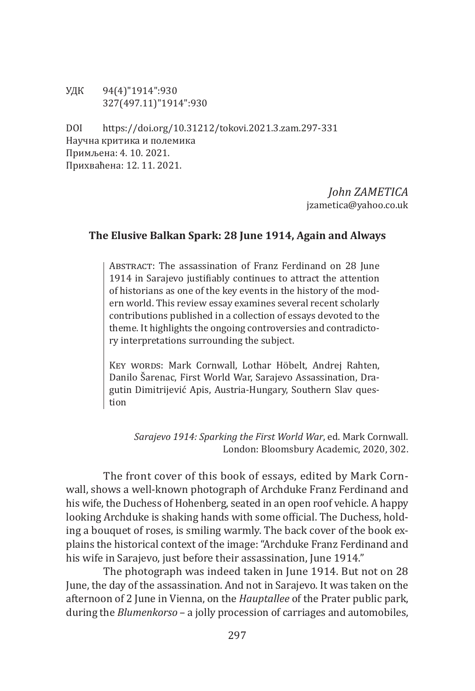УДК 94(4)"1914":930 327(497.11)"1914":930

DOI https://doi.org/10.31212/tokovi.2021.3.zam.297-331 Научна критика и полемика Примљена: 4. 10. 2021. Прихваћена: 12. 11. 2021.

> *John ZAMETICA* jzametica@yahoo.co.uk

# **The Elusive Balkan Spark: 28 June 1914, Again and Always**

ABSTRACT: The assassination of Franz Ferdinand on 28 June 1914 in Sarajevo justifiably continues to attract the attention of historians as one of the key events in the history of the modern world. This review essay examines several recent scholarly contributions published in a collection of essays devoted to the theme. It highlights the ongoing controversies and contradictory interpretations surrounding the subject.

Key words: Mark Cornwall, Lothar Höbelt, Andrej Rahten, Danilo Šarenac, First World War, Sarajevo Assassination, Dragutin Dimitrijević Apis, Austria-Hungary, Southern Slav question

*Sarajevo 1914: Sparking the First World War*, ed. Mark Cornwall. London: Bloomsbury Academic, 2020, 302.

The front cover of this book of essays, edited by Mark Cornwall, shows a well-known photograph of Archduke Franz Ferdinand and his wife, the Duchess of Hohenberg, seated in an open roof vehicle. A happy looking Archduke is shaking hands with some official. The Duchess, holding a bouquet of roses, is smiling warmly. The back cover of the book explains the historical context of the image: "Archduke Franz Ferdinand and his wife in Sarajevo, just before their assassination, June 1914."

The photograph was indeed taken in June 1914. But not on 28 June, the day of the assassination. And not in Sarajevo. It was taken on the afternoon of 2 June in Vienna, on the *Hauptallee* of the Prater public park, during the *Blumenkorso* – a jolly procession of carriages and automobiles,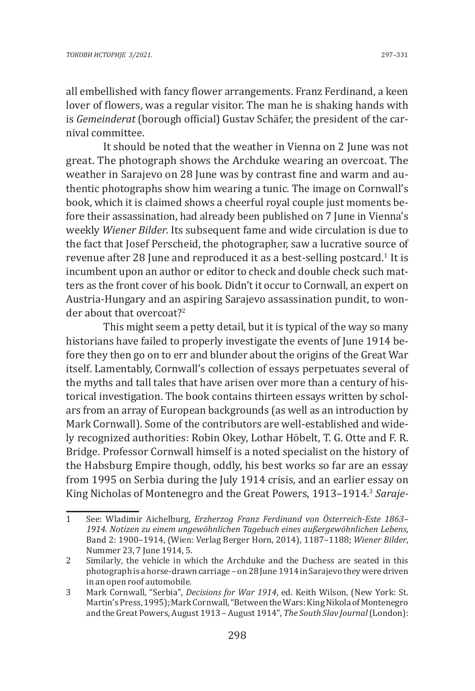all embellished with fancy flower arrangements. Franz Ferdinand, a keen lover of flowers, was a regular visitor. The man he is shaking hands with is *Gemeinderat* (borough official) Gustav Schäfer, the president of the carnival committee.

It should be noted that the weather in Vienna on 2 June was not great. The photograph shows the Archduke wearing an overcoat. The weather in Sarajevo on 28 June was by contrast fine and warm and authentic photographs show him wearing a tunic. The image on Cornwall's book, which it is claimed shows a cheerful royal couple just moments before their assassination, had already been published on 7 June in Vienna's weekly *Wiener Bilder*. Its subsequent fame and wide circulation is due to the fact that Josef Perscheid, the photographer, saw a lucrative source of revenue after 28 June and reproduced it as a best-selling postcard.<sup>1</sup> It is incumbent upon an author or editor to check and double check such matters as the front cover of his book. Didn't it occur to Cornwall, an expert on Austria-Hungary and an aspiring Sarajevo assassination pundit, to wonder about that overcoat?<sup>2</sup>

This might seem a petty detail, but it is typical of the way so many historians have failed to properly investigate the events of June 1914 before they then go on to err and blunder about the origins of the Great War itself. Lamentably, Cornwall's collection of essays perpetuates several of the myths and tall tales that have arisen over more than a century of historical investigation. The book contains thirteen essays written by scholars from an array of European backgrounds (as well as an introduction by Mark Cornwall). Some of the contributors are well-established and widely recognized authorities: Robin Okey, Lothar Höbelt, T. G. Otte and F. R. Bridge. Professor Cornwall himself is a noted specialist on the history of the Habsburg Empire though, oddly, his best works so far are an essay from 1995 on Serbia during the July 1914 crisis, and an earlier essay on King Nicholas of Montenegro and the Great Powers, 1913–1914.<sup>3</sup> *Saraje-*

<sup>1</sup> See: Wladimir Aichelburg, *Erzherzog Franz Ferdinand von Österreich-Este 1863– 1914. Notizen zu einem ungewöhnlichen Tagebuch eines außergewöhnlichen Lebens*, Band 2: 1900–1914, (Wien: Verlag Berger Horn, 2014), 1187–1188; *Wiener Bilder*, Nummer 23, 7 June 1914, 5.

<sup>2</sup> Similarly, the vehicle in which the Archduke and the Duchess are seated in this photograph is a horse-drawn carriage – on 28 June 1914 in Sarajevo they were driven in an open roof automobile.

<sup>3</sup> Mark Cornwall, "Serbia", *Decisions for War 1914*, ed. Keith Wilson, (New York: St. Martin's Press, 1995); Mark Cornwall, "Between the Wars: King Nikola of Montenegro and the Great Powers, August 1913 – August 1914", *The South Slav Journal* (London):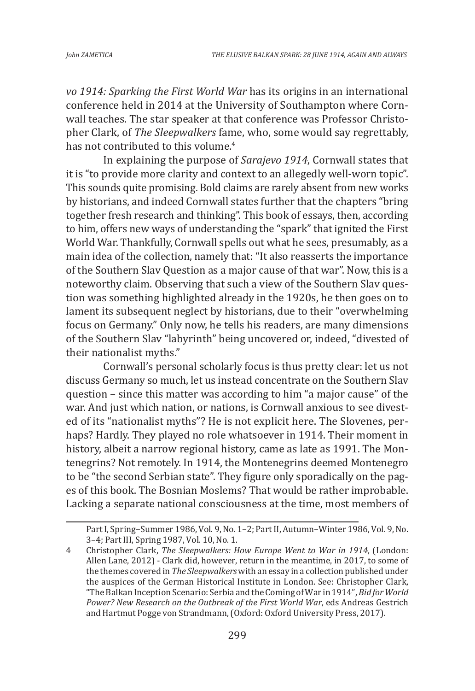*vo 1914: Sparking the First World War* has its origins in an international conference held in 2014 at the University of Southampton where Cornwall teaches. The star speaker at that conference was Professor Christopher Clark, of *The Sleepwalkers* fame, who, some would say regrettably, has not contributed to this volume.<sup>4</sup>

In explaining the purpose of *Sarajevo 1914*, Cornwall states that it is "to provide more clarity and context to an allegedly well-worn topic". This sounds quite promising. Bold claims are rarely absent from new works by historians, and indeed Cornwall states further that the chapters "bring together fresh research and thinking". This book of essays, then, according to him, offers new ways of understanding the "spark" that ignited the First World War. Thankfully, Cornwall spells out what he sees, presumably, as a main idea of the collection, namely that: "It also reasserts the importance of the Southern Slav Question as a major cause of that war". Now, this is a noteworthy claim. Observing that such a view of the Southern Slav question was something highlighted already in the 1920s, he then goes on to lament its subsequent neglect by historians, due to their "overwhelming focus on Germany." Only now, he tells his readers, are many dimensions of the Southern Slav "labyrinth" being uncovered or, indeed, "divested of their nationalist myths."

Cornwall's personal scholarly focus is thus pretty clear: let us not discuss Germany so much, let us instead concentrate on the Southern Slav question – since this matter was according to him "a major cause" of the war. And just which nation, or nations, is Cornwall anxious to see divested of its "nationalist myths"? He is not explicit here. The Slovenes, perhaps? Hardly. They played no role whatsoever in 1914. Their moment in history, albeit a narrow regional history, came as late as 1991. The Montenegrins? Not remotely. In 1914, the Montenegrins deemed Montenegro to be "the second Serbian state". They figure only sporadically on the pages of this book. The Bosnian Moslems? That would be rather improbable. Lacking a separate national consciousness at the time, most members of

Part I, Spring–Summer 1986, Vol. 9, No. 1–2; Part II, Autumn–Winter 1986, Vol. 9, No. 3–4; Part III, Spring 1987, Vol. 10, No. 1.

<sup>4</sup> Christopher Clark, *The Sleepwalkers: How Europe Went to War in 1914*, (London: Allen Lane, 2012) - Clark did, however, return in the meantime, in 2017, to some of the themes covered in *The Sleepwalkers* with an essay in a collection published under the auspices of the German Historical Institute in London. See: Christopher Clark, "The Balkan Inception Scenario: Serbia and the Coming of War in 1914", *Bid for World Power? New Research on the Outbreak of the First World War*, eds Andreas Gestrich and Hartmut Pogge von Strandmann, (Oxford: Oxford University Press, 2017).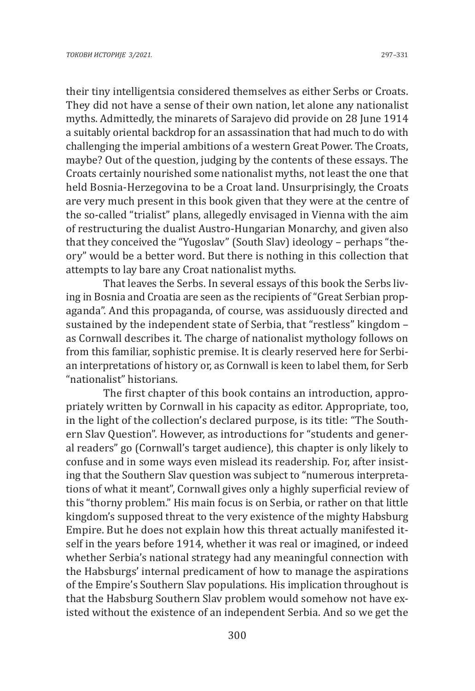their tiny intelligentsia considered themselves as either Serbs or Croats. They did not have a sense of their own nation, let alone any nationalist myths. Admittedly, the minarets of Sarajevo did provide on 28 June 1914 a suitably oriental backdrop for an assassination that had much to do with challenging the imperial ambitions of a western Great Power. The Croats, maybe? Out of the question, judging by the contents of these essays. The Croats certainly nourished some nationalist myths, not least the one that held Bosnia-Herzegovina to be a Croat land. Unsurprisingly, the Croats are very much present in this book given that they were at the centre of the so-called "trialist" plans, allegedly envisaged in Vienna with the aim of restructuring the dualist Austro-Hungarian Monarchy, and given also that they conceived the "Yugoslav" (South Slav) ideology – perhaps "theory" would be a better word. But there is nothing in this collection that attempts to lay bare any Croat nationalist myths.

That leaves the Serbs. In several essays of this book the Serbs living in Bosnia and Croatia are seen as the recipients of "Great Serbian propaganda". And this propaganda, of course, was assiduously directed and sustained by the independent state of Serbia, that "restless" kingdom – as Cornwall describes it. The charge of nationalist mythology follows on from this familiar, sophistic premise. It is clearly reserved here for Serbian interpretations of history or, as Cornwall is keen to label them, for Serb "nationalist" historians.

The first chapter of this book contains an introduction, appropriately written by Cornwall in his capacity as editor. Appropriate, too, in the light of the collection's declared purpose, is its title: "The Southern Slav Question". However, as introductions for "students and general readers" go (Cornwall's target audience), this chapter is only likely to confuse and in some ways even mislead its readership. For, after insisting that the Southern Slav question was subject to "numerous interpretations of what it meant", Cornwall gives only a highly superficial review of this "thorny problem." His main focus is on Serbia, or rather on that little kingdom's supposed threat to the very existence of the mighty Habsburg Empire. But he does not explain how this threat actually manifested itself in the years before 1914, whether it was real or imagined, or indeed whether Serbia's national strategy had any meaningful connection with the Habsburgs' internal predicament of how to manage the aspirations of the Empire's Southern Slav populations. His implication throughout is that the Habsburg Southern Slav problem would somehow not have existed without the existence of an independent Serbia. And so we get the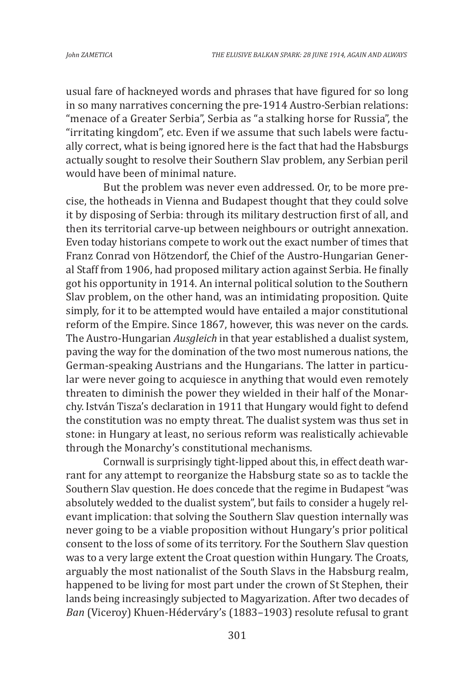usual fare of hackneyed words and phrases that have figured for so long in so many narratives concerning the pre-1914 Austro-Serbian relations: "menace of a Greater Serbia", Serbia as "a stalking horse for Russia", the "irritating kingdom", etc. Even if we assume that such labels were factually correct, what is being ignored here is the fact that had the Habsburgs actually sought to resolve their Southern Slav problem, any Serbian peril would have been of minimal nature.

But the problem was never even addressed. Or, to be more precise, the hotheads in Vienna and Budapest thought that they could solve it by disposing of Serbia: through its military destruction first of all, and then its territorial carve-up between neighbours or outright annexation. Even today historians compete to work out the exact number of times that Franz Conrad von Hötzendorf, the Chief of the Austro-Hungarian General Staff from 1906, had proposed military action against Serbia. He finally got his opportunity in 1914. An internal political solution to the Southern Slav problem, on the other hand, was an intimidating proposition. Quite simply, for it to be attempted would have entailed a major constitutional reform of the Empire. Since 1867, however, this was never on the cards. The Austro-Hungarian *Ausgleich* in that year established a dualist system, paving the way for the domination of the two most numerous nations, the German-speaking Austrians and the Hungarians. The latter in particular were never going to acquiesce in anything that would even remotely threaten to diminish the power they wielded in their half of the Monarchy. István Tisza's declaration in 1911 that Hungary would fight to defend the constitution was no empty threat. The dualist system was thus set in stone: in Hungary at least, no serious reform was realistically achievable through the Monarchy's constitutional mechanisms.

Cornwall is surprisingly tight-lipped about this, in effect death warrant for any attempt to reorganize the Habsburg state so as to tackle the Southern Slav question. He does concede that the regime in Budapest "was absolutely wedded to the dualist system", but fails to consider a hugely relevant implication: that solving the Southern Slav question internally was never going to be a viable proposition without Hungary's prior political consent to the loss of some of its territory. For the Southern Slav question was to a very large extent the Croat question within Hungary. The Croats, arguably the most nationalist of the South Slavs in the Habsburg realm, happened to be living for most part under the crown of St Stephen, their lands being increasingly subjected to Magyarization. After two decades of *Ban* (Viceroy) Khuen-Héderváry's (1883–1903) resolute refusal to grant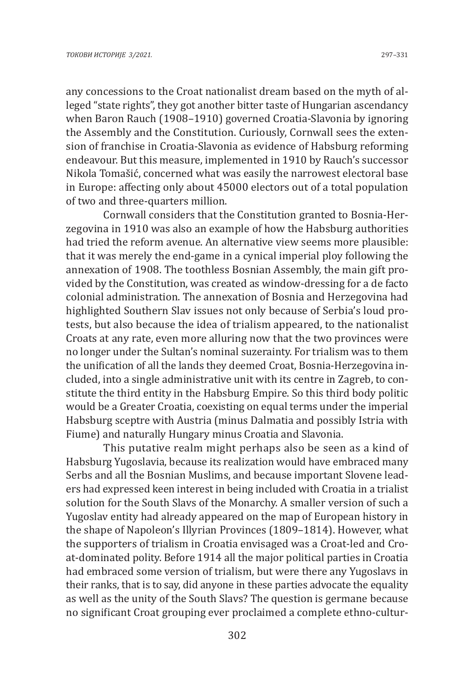any concessions to the Croat nationalist dream based on the myth of alleged "state rights", they got another bitter taste of Hungarian ascendancy when Baron Rauch (1908–1910) governed Croatia-Slavonia by ignoring the Assembly and the Constitution. Curiously, Cornwall sees the extension of franchise in Croatia-Slavonia as evidence of Habsburg reforming endeavour. But this measure, implemented in 1910 by Rauch's successor Nikola Tomašić, concerned what was easily the narrowest electoral base in Europe: affecting only about 45000 electors out of a total population of two and three-quarters million.

Cornwall considers that the Constitution granted to Bosnia-Herzegovina in 1910 was also an example of how the Habsburg authorities had tried the reform avenue. An alternative view seems more plausible: that it was merely the end-game in a cynical imperial ploy following the annexation of 1908. The toothless Bosnian Assembly, the main gift provided by the Constitution, was created as window-dressing for a de facto colonial administration. The annexation of Bosnia and Herzegovina had highlighted Southern Slav issues not only because of Serbia's loud protests, but also because the idea of trialism appeared, to the nationalist Croats at any rate, even more alluring now that the two provinces were no longer under the Sultan's nominal suzerainty. For trialism was to them the unification of all the lands they deemed Croat, Bosnia-Herzegovina included, into a single administrative unit with its centre in Zagreb, to constitute the third entity in the Habsburg Empire. So this third body politic would be a Greater Croatia, coexisting on equal terms under the imperial Habsburg sceptre with Austria (minus Dalmatia and possibly Istria with Fiume) and naturally Hungary minus Croatia and Slavonia.

This putative realm might perhaps also be seen as a kind of Habsburg Yugoslavia, because its realization would have embraced many Serbs and all the Bosnian Muslims, and because important Slovene leaders had expressed keen interest in being included with Croatia in a trialist solution for the South Slavs of the Monarchy. A smaller version of such a Yugoslav entity had already appeared on the map of European history in the shape of Napoleon's Illyrian Provinces (1809–1814). However, what the supporters of trialism in Croatia envisaged was a Croat-led and Croat-dominated polity. Before 1914 all the major political parties in Croatia had embraced some version of trialism, but were there any Yugoslavs in their ranks, that is to say, did anyone in these parties advocate the equality as well as the unity of the South Slavs? The question is germane because no significant Croat grouping ever proclaimed a complete ethno-cultur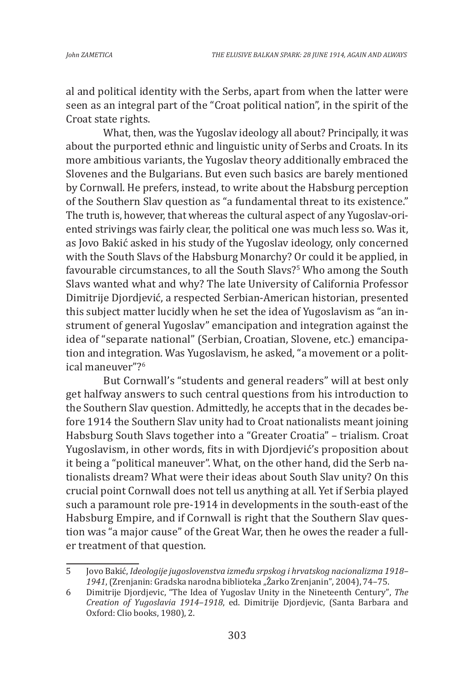al and political identity with the Serbs, apart from when the latter were seen as an integral part of the "Croat political nation", in the spirit of the Croat state rights.

What, then, was the Yugoslav ideology all about? Principally, it was about the purported ethnic and linguistic unity of Serbs and Croats. In its more ambitious variants, the Yugoslav theory additionally embraced the Slovenes and the Bulgarians. But even such basics are barely mentioned by Cornwall. He prefers, instead, to write about the Habsburg perception of the Southern Slav question as "a fundamental threat to its existence." The truth is, however, that whereas the cultural aspect of any Yugoslav-oriented strivings was fairly clear, the political one was much less so. Was it, as Jovo Bakić asked in his study of the Yugoslav ideology, only concerned with the South Slavs of the Habsburg Monarchy? Or could it be applied, in favourable circumstances, to all the South Slavs?<sup>5</sup> Who among the South Slavs wanted what and why? The late University of California Professor Dimitrije Djordjević, a respected Serbian-American historian, presented this subject matter lucidly when he set the idea of Yugoslavism as "an instrument of general Yugoslav" emancipation and integration against the idea of "separate national" (Serbian, Croatian, Slovene, etc.) emancipation and integration. Was Yugoslavism, he asked, "a movement or a political maneuver"?<sup>6</sup>

But Cornwall's "students and general readers" will at best only get halfway answers to such central questions from his introduction to the Southern Slav question. Admittedly, he accepts that in the decades before 1914 the Southern Slav unity had to Croat nationalists meant joining Habsburg South Slavs together into a "Greater Croatia" – trialism. Croat Yugoslavism, in other words, fits in with Djordjević's proposition about it being a "political maneuver". What, on the other hand, did the Serb nationalists dream? What were their ideas about South Slav unity? On this crucial point Cornwall does not tell us anything at all. Yet if Serbia played such a paramount role pre-1914 in developments in the south-east of the Habsburg Empire, and if Cornwall is right that the Southern Slav question was "a major cause" of the Great War, then he owes the reader a fuller treatment of that question.

<sup>5</sup> Jovo Bakić, *Ideologije jugoslovenstva između srpskog i hrvatskog nacionalizma 1918– 1941*,(Zrenjanin: Gradska narodna biblioteka "Žarko Zrenjanin", 2004), 74–75.

<sup>6</sup> Dimitrije Djordjevic, "The Idea of Yugoslav Unity in the Nineteenth Century", *The Creation of Yugoslavia 1914–1918*, ed. Dimitrije Djordjevic, (Santa Barbara and Oxford: Clio books, 1980), 2.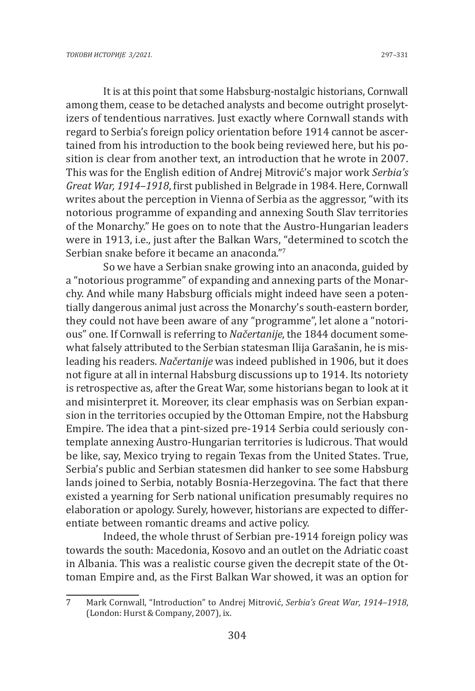It is at this point that some Habsburg-nostalgic historians, Cornwall among them, cease to be detached analysts and become outright proselytizers of tendentious narratives. Just exactly where Cornwall stands with regard to Serbia's foreign policy orientation before 1914 cannot be ascertained from his introduction to the book being reviewed here, but his position is clear from another text, an introduction that he wrote in 2007. This was for the English edition of Andrej Mitrović's major work *Serbia's Great War, 1914–1918*, first published in Belgrade in 1984. Here, Cornwall writes about the perception in Vienna of Serbia as the aggressor, "with its notorious programme of expanding and annexing South Slav territories of the Monarchy." He goes on to note that the Austro-Hungarian leaders were in 1913, i.e., just after the Balkan Wars, "determined to scotch the Serbian snake before it became an anaconda."<sup>7</sup>

So we have a Serbian snake growing into an anaconda, guided by a "notorious programme" of expanding and annexing parts of the Monarchy. And while many Habsburg officials might indeed have seen a potentially dangerous animal just across the Monarchy's south-eastern border, they could not have been aware of any "programme", let alone a "notorious" one. If Cornwall is referring to *Načertanije*, the 1844 document somewhat falsely attributed to the Serbian statesman Ilija Garašanin, he is misleading his readers. *Načertanije* was indeed published in 1906, but it does not figure at all in internal Habsburg discussions up to 1914. Its notoriety is retrospective as, after the Great War, some historians began to look at it and misinterpret it. Moreover, its clear emphasis was on Serbian expansion in the territories occupied by the Ottoman Empire, not the Habsburg Empire. The idea that a pint-sized pre-1914 Serbia could seriously contemplate annexing Austro-Hungarian territories is ludicrous. That would be like, say, Mexico trying to regain Texas from the United States. True, Serbia's public and Serbian statesmen did hanker to see some Habsburg lands joined to Serbia, notably Bosnia-Herzegovina. The fact that there existed a yearning for Serb national unification presumably requires no elaboration or apology. Surely, however, historians are expected to differentiate between romantic dreams and active policy.

Indeed, the whole thrust of Serbian pre-1914 foreign policy was towards the south: Macedonia, Kosovo and an outlet on the Adriatic coast in Albania. This was a realistic course given the decrepit state of the Ottoman Empire and, as the First Balkan War showed, it was an option for

<sup>7</sup> Mark Cornwall, "Introduction" to Andrej Mitrović, *Serbia's Great War, 1914–1918*, (London: Hurst & Company, 2007), ix.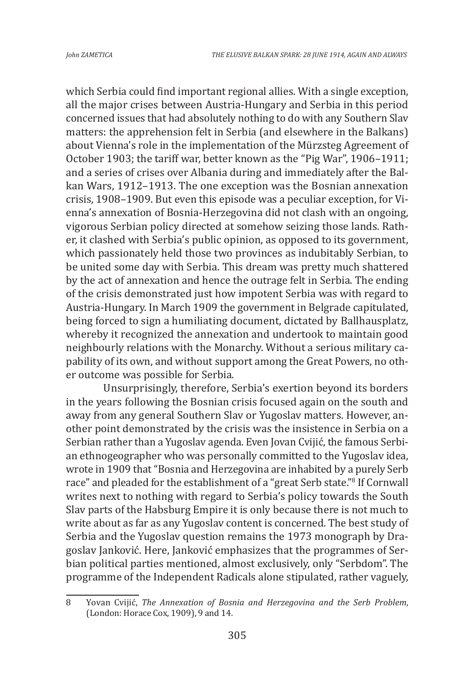which Serbia could find important regional allies. With a single exception, all the major crises between Austria-Hungary and Serbia in this period concerned issues that had absolutely nothing to do with any Southern Slav matters: the apprehension felt in Serbia (and elsewhere in the Balkans) about Vienna's role in the implementation of the Mürzsteg Agreement of October 1903; the tariff war, better known as the "Pig War", 1906–1911; and a series of crises over Albania during and immediately after the Balkan Wars, 1912–1913. The one exception was the Bosnian annexation crisis, 1908–1909. But even this episode was a peculiar exception, for Vienna's annexation of Bosnia-Herzegovina did not clash with an ongoing, vigorous Serbian policy directed at somehow seizing those lands. Rather, it clashed with Serbia's public opinion, as opposed to its government, which passionately held those two provinces as indubitably Serbian, to be united some day with Serbia. This dream was pretty much shattered by the act of annexation and hence the outrage felt in Serbia. The ending of the crisis demonstrated just how impotent Serbia was with regard to Austria-Hungary. In March 1909 the government in Belgrade capitulated, being forced to sign a humiliating document, dictated by Ballhausplatz, whereby it recognized the annexation and undertook to maintain good neighbourly relations with the Monarchy. Without a serious military capability of its own, and without support among the Great Powers, no other outcome was possible for Serbia.

Unsurprisingly, therefore, Serbia's exertion beyond its borders in the years following the Bosnian crisis focused again on the south and away from any general Southern Slav or Yugoslav matters. However, another point demonstrated by the crisis was the insistence in Serbia on a Serbian rather than a Yugoslav agenda. Even Jovan Cvijić, the famous Serbian ethnogeographer who was personally committed to the Yugoslav idea, wrote in 1909 that "Bosnia and Herzegovina are inhabited by a purely Serb race" and pleaded for the establishment of a "great Serb state."8 If Cornwall writes next to nothing with regard to Serbia's policy towards the South Slav parts of the Habsburg Empire it is only because there is not much to write about as far as any Yugoslav content is concerned. The best study of Serbia and the Yugoslav question remains the 1973 monograph by Dragoslav Janković. Here, Janković emphasizes that the programmes of Serbian political parties mentioned, almost exclusively, only "Serbdom". The programme of the Independent Radicals alone stipulated, rather vaguely,

<sup>8</sup> Yovan Cvijić, *The Annexation of Bosnia and Herzegovina and the Serb Problem*, (London: Horace Cox, 1909), 9 and 14.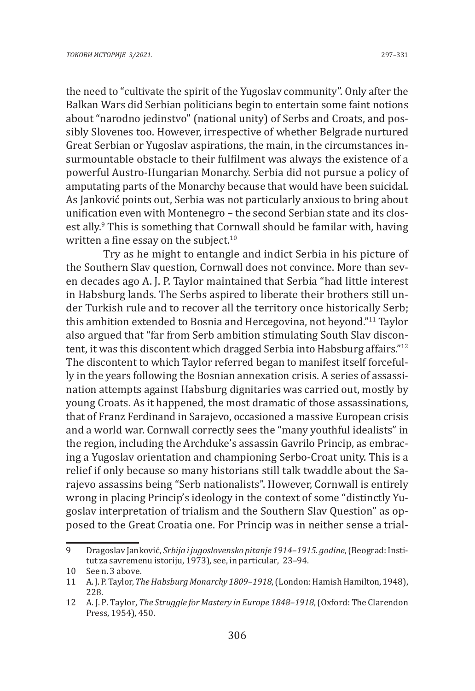the need to "cultivate the spirit of the Yugoslav community". Only after the Balkan Wars did Serbian politicians begin to entertain some faint notions about "narodno jedinstvo" (national unity) of Serbs and Croats, and possibly Slovenes too. However, irrespective of whether Belgrade nurtured Great Serbian or Yugoslav aspirations, the main, in the circumstances insurmountable obstacle to their fulfilment was always the existence of a powerful Austro-Hungarian Monarchy. Serbia did not pursue a policy of amputating parts of the Monarchy because that would have been suicidal. As Janković points out, Serbia was not particularly anxious to bring about unification even with Montenegro – the second Serbian state and its closest ally.<sup>9</sup> This is something that Cornwall should be familar with, having written a fine essay on the subject. $10$ 

Try as he might to entangle and indict Serbia in his picture of the Southern Slav question, Cornwall does not convince. More than seven decades ago A. J. P. Taylor maintained that Serbia "had little interest in Habsburg lands. The Serbs aspired to liberate their brothers still under Turkish rule and to recover all the territory once historically Serb; this ambition extended to Bosnia and Hercegovina, not beyond."<sup>11</sup> Taylor also argued that "far from Serb ambition stimulating South Slav discontent, it was this discontent which dragged Serbia into Habsburg affairs."<sup>12</sup> The discontent to which Taylor referred began to manifest itself forcefully in the years following the Bosnian annexation crisis. A series of assassination attempts against Habsburg dignitaries was carried out, mostly by young Croats. As it happened, the most dramatic of those assassinations, that of Franz Ferdinand in Sarajevo, occasioned a massive European crisis and a world war. Cornwall correctly sees the "many youthful idealists" in the region, including the Archduke's assassin Gavrilo Princip, as embracing a Yugoslav orientation and championing Serbo-Croat unity. This is a relief if only because so many historians still talk twaddle about the Sarajevo assassins being "Serb nationalists". However, Cornwall is entirely wrong in placing Princip's ideology in the context of some "distinctly Yugoslav interpretation of trialism and the Southern Slav Question" as opposed to the Great Croatia one. For Princip was in neither sense a trial-

<sup>9</sup> Dragoslav Janković, *Srbija i jugoslovensko pitanje 1914–1915. godine*, (Beograd: Institut za savremenu istoriju, 1973), see, in particular, 23–94.

<sup>10</sup> See n. 3 above.

<sup>11</sup> A. J. P. Taylor, *The Habsburg Monarchy 1809–1918*, (London: Hamish Hamilton, 1948), 228.

<sup>12</sup> A. J. P. Taylor, *The Struggle for Mastery in Europe 1848–1918*, (Oxford: The Clarendon Press, 1954), 450.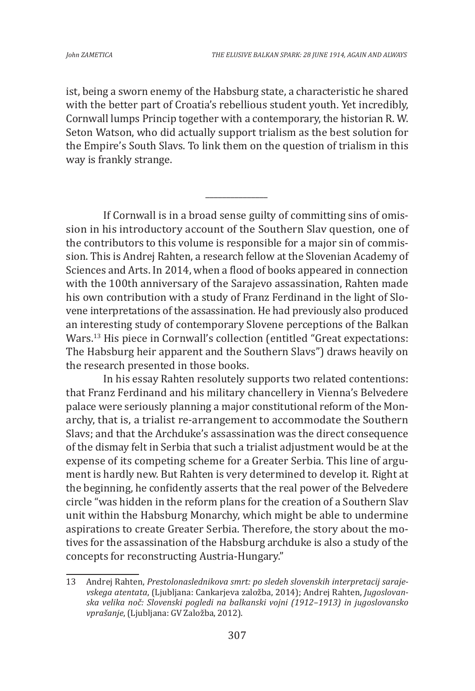ist, being a sworn enemy of the Habsburg state, a characteristic he shared with the better part of Croatia's rebellious student youth. Yet incredibly, Cornwall lumps Princip together with a contemporary, the historian R. W. Seton Watson, who did actually support trialism as the best solution for the Empire's South Slavs. To link them on the question of trialism in this way is frankly strange.

*\_\_\_\_\_\_\_\_\_\_\_\_\_\_\_*

If Cornwall is in a broad sense guilty of committing sins of omission in his introductory account of the Southern Slav question, one of the contributors to this volume is responsible for a major sin of commission. This is Andrej Rahten, a research fellow at the Slovenian Academy of Sciences and Arts. In 2014, when a flood of books appeared in connection with the 100th anniversary of the Sarajevo assassination, Rahten made his own contribution with a study of Franz Ferdinand in the light of Slovene interpretations of the assassination. He had previously also produced an interesting study of contemporary Slovene perceptions of the Balkan Wars.<sup>13</sup> His piece in Cornwall's collection (entitled "Great expectations: The Habsburg heir apparent and the Southern Slavs") draws heavily on the research presented in those books.

In his essay Rahten resolutely supports two related contentions: that Franz Ferdinand and his military chancellery in Vienna's Belvedere palace were seriously planning a major constitutional reform of the Monarchy, that is, a trialist re-arrangement to accommodate the Southern Slavs; and that the Archduke's assassination was the direct consequence of the dismay felt in Serbia that such a trialist adjustment would be at the expense of its competing scheme for a Greater Serbia. This line of argument is hardly new. But Rahten is very determined to develop it. Right at the beginning, he confidently asserts that the real power of the Belvedere circle "was hidden in the reform plans for the creation of a Southern Slav unit within the Habsburg Monarchy, which might be able to undermine aspirations to create Greater Serbia. Therefore, the story about the motives for the assassination of the Habsburg archduke is also a study of the concepts for reconstructing Austria-Hungary."

<sup>13</sup> Andrej Rahten, *Prestolonaslednikova smrt: po sledeh slovenskih interpretacij sarajevskega atentata*, (Ljubljana: Cankarjeva založba, 2014); Andrej Rahten, *Jugoslovanska velika noč: Slovenski pogledi na balkanski vojni (1912–1913) in jugoslovansko vprašanje*, (Ljubljana: GV Založba, 2012).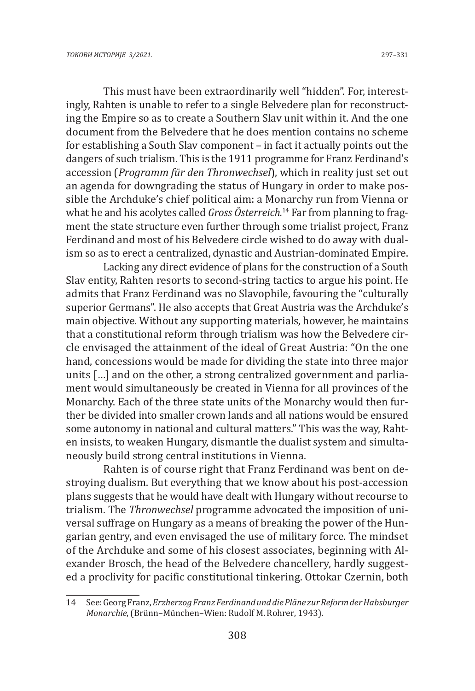This must have been extraordinarily well "hidden". For, interestingly, Rahten is unable to refer to a single Belvedere plan for reconstructing the Empire so as to create a Southern Slav unit within it. And the one document from the Belvedere that he does mention contains no scheme for establishing a South Slav component – in fact it actually points out the dangers of such trialism. This is the 1911 programme for Franz Ferdinand's accession (*Programm für den Thronwechsel*), which in reality just set out an agenda for downgrading the status of Hungary in order to make possible the Archduke's chief political aim: a Monarchy run from Vienna or what he and his acolytes called *Gross Österreich.*<sup>14</sup> Far from planning to fragment the state structure even further through some trialist project, Franz Ferdinand and most of his Belvedere circle wished to do away with dualism so as to erect a centralized, dynastic and Austrian-dominated Empire.

Lacking any direct evidence of plans for the construction of a South Slav entity, Rahten resorts to second-string tactics to argue his point. He admits that Franz Ferdinand was no Slavophile, favouring the "culturally superior Germans". He also accepts that Great Austria was the Archduke's main objective. Without any supporting materials, however, he maintains that a constitutional reform through trialism was how the Belvedere circle envisaged the attainment of the ideal of Great Austria: "On the one hand, concessions would be made for dividing the state into three major units […] and on the other, a strong centralized government and parliament would simultaneously be created in Vienna for all provinces of the Monarchy. Each of the three state units of the Monarchy would then further be divided into smaller crown lands and all nations would be ensured some autonomy in national and cultural matters." This was the way, Rahten insists, to weaken Hungary, dismantle the dualist system and simultaneously build strong central institutions in Vienna.

Rahten is of course right that Franz Ferdinand was bent on destroying dualism. But everything that we know about his post-accession plans suggests that he would have dealt with Hungary without recourse to trialism. The *Thronwechsel* programme advocated the imposition of universal suffrage on Hungary as a means of breaking the power of the Hungarian gentry, and even envisaged the use of military force. The mindset of the Archduke and some of his closest associates, beginning with Alexander Brosch, the head of the Belvedere chancellery, hardly suggested a proclivity for pacific constitutional tinkering. Ottokar Czernin, both

<sup>14</sup> See: Georg Franz, *Erzherzog Franz Ferdinand und die Pläne zur Reform der Habsburger Monarchie*,(Brünn–München–Wien: Rudolf M. Rohrer, 1943).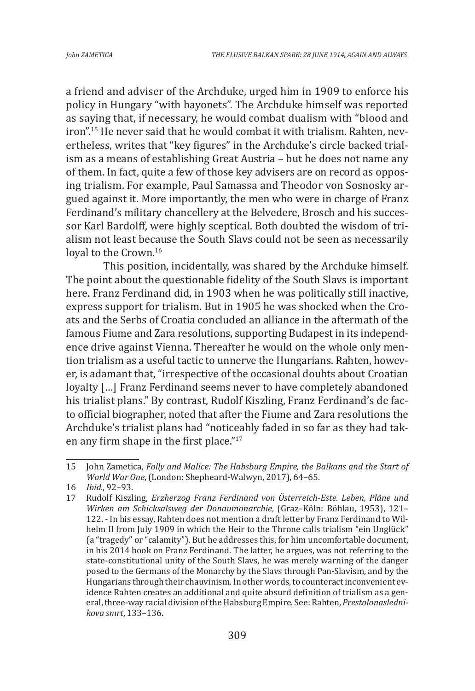a friend and adviser of the Archduke, urged him in 1909 to enforce his policy in Hungary "with bayonets". The Archduke himself was reported as saying that, if necessary, he would combat dualism with "blood and iron".15 He never said that he would combat it with trialism. Rahten, nevertheless, writes that "key figures" in the Archduke's circle backed trialism as a means of establishing Great Austria – but he does not name any of them. In fact, quite a few of those key advisers are on record as opposing trialism. For example, Paul Samassa and Theodor von Sosnosky argued against it. More importantly, the men who were in charge of Franz Ferdinand's military chancellery at the Belvedere, Brosch and his successor Karl Bardolff, were highly sceptical. Both doubted the wisdom of trialism not least because the South Slavs could not be seen as necessarily loyal to the Crown.<sup>16</sup>

This position, incidentally, was shared by the Archduke himself. The point about the questionable fidelity of the South Slavs is important here. Franz Ferdinand did, in 1903 when he was politically still inactive, express support for trialism. But in 1905 he was shocked when the Croats and the Serbs of Croatia concluded an alliance in the aftermath of the famous Fiume and Zara resolutions, supporting Budapest in its independence drive against Vienna. Thereafter he would on the whole only mention trialism as a useful tactic to unnerve the Hungarians. Rahten, however, is adamant that, "irrespective of the occasional doubts about Croatian loyalty […] Franz Ferdinand seems never to have completely abandoned his trialist plans." By contrast, Rudolf Kiszling, Franz Ferdinand's de facto official biographer, noted that after the Fiume and Zara resolutions the Archduke's trialist plans had "noticeably faded in so far as they had taken any firm shape in the first place."<sup>17</sup>

<sup>15</sup> John Zametica, *Folly and Malice: The Habsburg Empire, the Balkans and the Start of World War One*,(London: Shepheard-Walwyn, 2017), 64–65.

<sup>16</sup> *Ibid.*, 92–93.

<sup>17</sup> Rudolf Kiszling, *Erzherzog Franz Ferdinand von Österreich-Este. Leben, Pläne und Wirken am Schicksalsweg der Donaumonarchie*, (Graz–Köln: Böhlau, 1953), 121– 122. - In his essay, Rahten does not mention a draft letter by Franz Ferdinand to Wilhelm II from July 1909 in which the Heir to the Throne calls trialism "ein Unglück" (a "tragedy" or "calamity"). But he addresses this, for him uncomfortable document, in his 2014 book on Franz Ferdinand. The latter, he argues, was not referring to the state-constitutional unity of the South Slavs, he was merely warning of the danger posed to the Germans of the Monarchy by the Slavs through Pan-Slavism, and by the Hungarians through their chauvinism. In other words, to counteract inconvenient evidence Rahten creates an additional and quite absurd definition of trialism as a general, three-way racial division of the Habsburg Empire. See: Rahten, *Prestolonaslednikova smrt*, 133–136.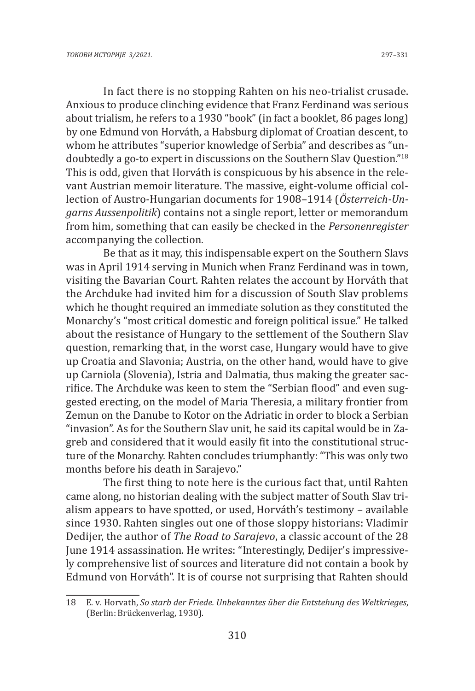In fact there is no stopping Rahten on his neo-trialist crusade. Anxious to produce clinching evidence that Franz Ferdinand was serious about trialism, he refers to a 1930 "book" (in fact a booklet, 86 pages long) by one Edmund von Horváth, a Habsburg diplomat of Croatian descent, to whom he attributes "superior knowledge of Serbia" and describes as "undoubtedly a go-to expert in discussions on the Southern Slav Question."18 This is odd, given that Horváth is conspicuous by his absence in the relevant Austrian memoir literature. The massive, eight-volume official collection of Austro-Hungarian documents for 1908–1914 (*Österreich-Ungarns Aussenpolitik*) contains not a single report, letter or memorandum from him, something that can easily be checked in the *Personenregister*  accompanying the collection.

Be that as it may, this indispensable expert on the Southern Slavs was in April 1914 serving in Munich when Franz Ferdinand was in town, visiting the Bavarian Court. Rahten relates the account by Horváth that the Archduke had invited him for a discussion of South Slav problems which he thought required an immediate solution as they constituted the Monarchy's "most critical domestic and foreign political issue." He talked about the resistance of Hungary to the settlement of the Southern Slav question, remarking that, in the worst case, Hungary would have to give up Croatia and Slavonia; Austria, on the other hand, would have to give up Carniola (Slovenia), Istria and Dalmatia, thus making the greater sacrifice. The Archduke was keen to stem the "Serbian flood" and even suggested erecting, on the model of Maria Theresia, a military frontier from Zemun on the Danube to Kotor on the Adriatic in order to block a Serbian "invasion". As for the Southern Slav unit, he said its capital would be in Zagreb and considered that it would easily fit into the constitutional structure of the Monarchy. Rahten concludes triumphantly: "This was only two months before his death in Sarajevo."

The first thing to note here is the curious fact that, until Rahten came along, no historian dealing with the subject matter of South Slav trialism appears to have spotted, or used, Horváth's testimony – available since 1930. Rahten singles out one of those sloppy historians: Vladimir Dedijer, the author of *The Road to Sarajevo*, a classic account of the 28 June 1914 assassination. He writes: "Interestingly, Dedijer's impressively comprehensive list of sources and literature did not contain a book by Edmund von Horváth". It is of course not surprising that Rahten should

<sup>18</sup> E. v. Horvath, *So starb der Friede. Unbekanntes über die Entstehung des Weltkrieges*, (Berlin: Brückenverlag, 1930).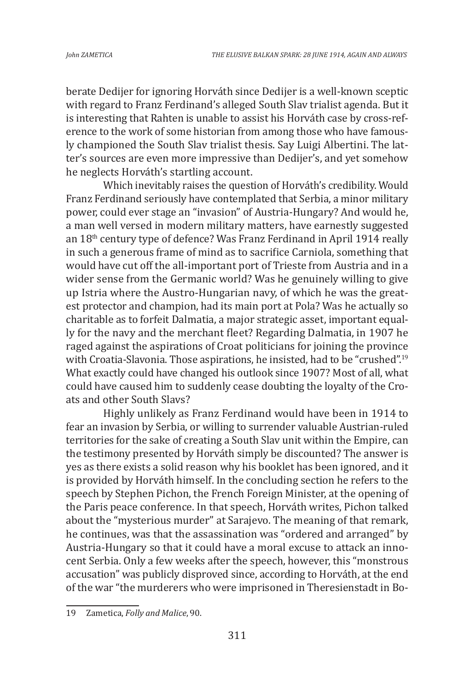berate Dedijer for ignoring Horváth since Dedijer is a well-known sceptic with regard to Franz Ferdinand's alleged South Slav trialist agenda. But it is interesting that Rahten is unable to assist his Horváth case by cross-reference to the work of some historian from among those who have famously championed the South Slav trialist thesis. Say Luigi Albertini. The latter's sources are even more impressive than Dedijer's, and yet somehow he neglects Horváth's startling account.

Which inevitably raises the question of Horváth's credibility. Would Franz Ferdinand seriously have contemplated that Serbia, a minor military power, could ever stage an "invasion" of Austria-Hungary? And would he, a man well versed in modern military matters, have earnestly suggested an 18th century type of defence? Was Franz Ferdinand in April 1914 really in such a generous frame of mind as to sacrifice Carniola, something that would have cut off the all-important port of Trieste from Austria and in a wider sense from the Germanic world? Was he genuinely willing to give up Istria where the Austro-Hungarian navy, of which he was the greatest protector and champion, had its main port at Pola? Was he actually so charitable as to forfeit Dalmatia, a major strategic asset, important equally for the navy and the merchant fleet? Regarding Dalmatia, in 1907 he raged against the aspirations of Croat politicians for joining the province with Croatia-Slavonia. Those aspirations, he insisted, had to be "crushed".<sup>19</sup> What exactly could have changed his outlook since 1907? Most of all, what could have caused him to suddenly cease doubting the loyalty of the Croats and other South Slavs?

Highly unlikely as Franz Ferdinand would have been in 1914 to fear an invasion by Serbia, or willing to surrender valuable Austrian-ruled territories for the sake of creating a South Slav unit within the Empire, can the testimony presented by Horváth simply be discounted? The answer is yes as there exists a solid reason why his booklet has been ignored, and it is provided by Horváth himself. In the concluding section he refers to the speech by Stephen Pichon, the French Foreign Minister, at the opening of the Paris peace conference. In that speech, Horváth writes, Pichon talked about the "mysterious murder" at Sarajevo. The meaning of that remark, he continues, was that the assassination was "ordered and arranged" by Austria-Hungary so that it could have a moral excuse to attack an innocent Serbia. Only a few weeks after the speech, however, this "monstrous accusation" was publicly disproved since, according to Horváth, at the end of the war "the murderers who were imprisoned in Theresienstadt in Bo-

<sup>19</sup> Zametica, *Folly and Malice*, 90.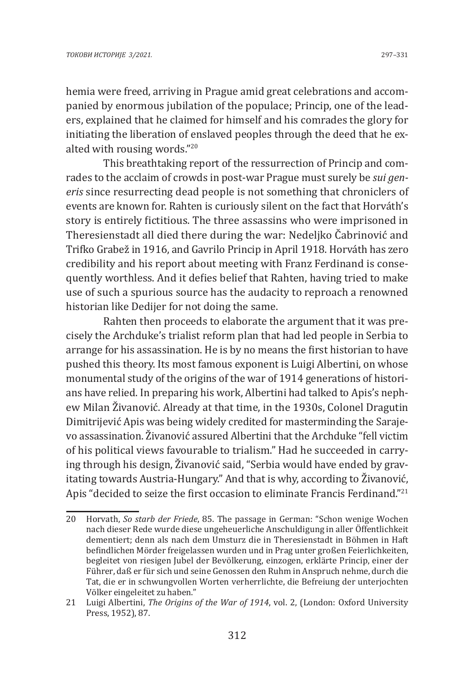hemia were freed, arriving in Prague amid great celebrations and accompanied by enormous jubilation of the populace; Princip, one of the leaders, explained that he claimed for himself and his comrades the glory for initiating the liberation of enslaved peoples through the deed that he exalted with rousing words."<sup>20</sup>

This breathtaking report of the ressurrection of Princip and comrades to the acclaim of crowds in post-war Prague must surely be *sui generis* since resurrecting dead people is not something that chroniclers of events are known for. Rahten is curiously silent on the fact that Horváth's story is entirely fictitious. The three assassins who were imprisoned in Theresienstadt all died there during the war: Nedeljko Čabrinović and Trifko Grabež in 1916, and Gavrilo Princip in April 1918. Horváth has zero credibility and his report about meeting with Franz Ferdinand is consequently worthless. And it defies belief that Rahten, having tried to make use of such a spurious source has the audacity to reproach a renowned historian like Dedijer for not doing the same.

Rahten then proceeds to elaborate the argument that it was precisely the Archduke's trialist reform plan that had led people in Serbia to arrange for his assassination. He is by no means the first historian to have pushed this theory. Its most famous exponent is Luigi Albertini, on whose monumental study of the origins of the war of 1914 generations of historians have relied. In preparing his work, Albertini had talked to Apis's nephew Milan Živanović. Already at that time, in the 1930s, Colonel Dragutin Dimitrijević Apis was being widely credited for masterminding the Sarajevo assassination. Živanović assured Albertini that the Archduke "fell victim of his political views favourable to trialism." Had he succeeded in carrying through his design, Živanović said, "Serbia would have ended by gravitating towards Austria-Hungary." And that is why, according to Živanović, Apis "decided to seize the first occasion to eliminate Francis Ferdinand."<sup>21</sup>

<sup>20</sup> Horvath, *So starb der Friede*, 85. The passage in German: "Schon wenige Wochen nach dieser Rede wurde diese ungeheuerliche Anschuldigung in aller Öffentlichkeit dementiert; denn als nach dem Umsturz die in Theresienstadt in Böhmen in Haft befindlichen Mörder freigelassen wurden und in Prag unter großen Feierlichkeiten, begleitet von riesigen Jubel der Bevölkerung, einzogen, erklärte Princip, einer der Führer, daß er für sich und seine Genossen den Ruhm in Anspruch nehme, durch die Tat, die er in schwungvollen Worten verherrlichte, die Befreiung der unterjochten Völker eingeleitet zu haben."

<sup>21</sup> Luigi Albertini, *The Origins of the War of 1914*, vol. 2, (London: Oxford University Press, 1952), 87.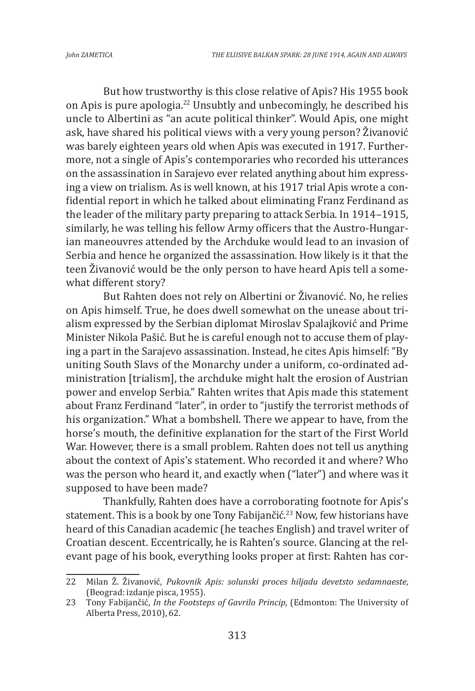But how trustworthy is this close relative of Apis? His 1955 book on Apis is pure apologia.<sup>22</sup> Unsubtly and unbecomingly, he described his uncle to Albertini as "an acute political thinker". Would Apis, one might ask, have shared his political views with a very young person? Živanović was barely eighteen years old when Apis was executed in 1917. Furthermore, not a single of Apis's contemporaries who recorded his utterances on the assassination in Sarajevo ever related anything about him expressing a view on trialism. As is well known, at his 1917 trial Apis wrote a confidential report in which he talked about eliminating Franz Ferdinand as the leader of the military party preparing to attack Serbia. In 1914–1915, similarly, he was telling his fellow Army officers that the Austro-Hungarian maneouvres attended by the Archduke would lead to an invasion of Serbia and hence he organized the assassination. How likely is it that the teen Živanović would be the only person to have heard Apis tell a somewhat different story?

But Rahten does not rely on Albertini or Živanović. No, he relies on Apis himself. True, he does dwell somewhat on the unease about trialism expressed by the Serbian diplomat Miroslav Spalajković and Prime Minister Nikola Pašić. But he is careful enough not to accuse them of playing a part in the Sarajevo assassination. Instead, he cites Apis himself: "By uniting South Slavs of the Monarchy under a uniform, co-ordinated administration [trialism], the archduke might halt the erosion of Austrian power and envelop Serbia." Rahten writes that Apis made this statement about Franz Ferdinand "later", in order to "justify the terrorist methods of his organization." What a bombshell. There we appear to have, from the horse's mouth, the definitive explanation for the start of the First World War. However, there is a small problem. Rahten does not tell us anything about the context of Apis's statement. Who recorded it and where? Who was the person who heard it, and exactly when ("later") and where was it supposed to have been made?

Thankfully, Rahten does have a corroborating footnote for Apis's statement. This is a book by one Tony Fabijančić.<sup>23</sup> Now, few historians have heard of this Canadian academic (he teaches English) and travel writer of Croatian descent. Eccentrically, he is Rahten's source. Glancing at the relevant page of his book, everything looks proper at first: Rahten has cor-

<sup>22</sup> Milan Ž. Živanović, *Pukovnik Apis: solunski proces hiljadu devetsto sedamnaeste*, (Beograd: izdanje pisca, 1955).

<sup>23</sup> Tony Fabijančić, *In the Footsteps of Gavrilo Princip*, (Edmonton: The University of Alberta Press, 2010), 62.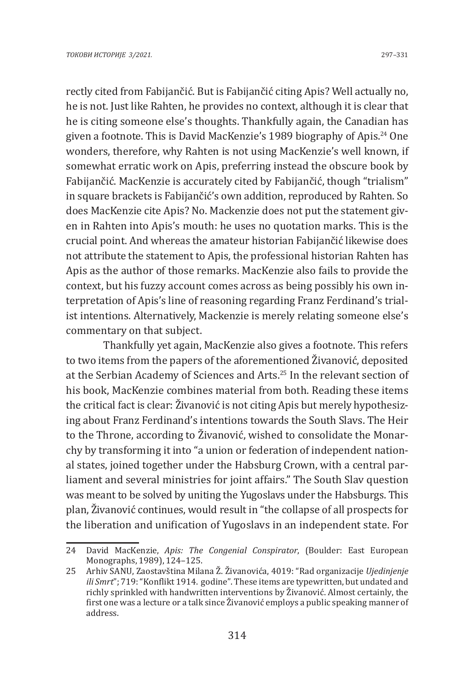rectly cited from Fabijančić. But is Fabijančić citing Apis? Well actually no, he is not. Just like Rahten, he provides no context, although it is clear that he is citing someone else's thoughts. Thankfully again, the Canadian has given a footnote. This is David MacKenzie's 1989 biography of Apis.24 One wonders, therefore, why Rahten is not using MacKenzie's well known, if somewhat erratic work on Apis, preferring instead the obscure book by Fabijančić. MacKenzie is accurately cited by Fabijančić, though "trialism" in square brackets is Fabijančić's own addition, reproduced by Rahten. So does MacKenzie cite Apis? No. Mackenzie does not put the statement given in Rahten into Apis's mouth: he uses no quotation marks. This is the crucial point. And whereas the amateur historian Fabijančić likewise does not attribute the statement to Apis, the professional historian Rahten has Apis as the author of those remarks. MacKenzie also fails to provide the context, but his fuzzy account comes across as being possibly his own interpretation of Apis's line of reasoning regarding Franz Ferdinand's trialist intentions. Alternatively, Mackenzie is merely relating someone else's commentary on that subject.

Thankfully yet again, MacKenzie also gives a footnote. This refers to two items from the papers of the aforementioned Živanović, deposited at the Serbian Academy of Sciences and Arts.<sup>25</sup> In the relevant section of his book, MacKenzie combines material from both. Reading these items the critical fact is clear: Živanović is not citing Apis but merely hypothesizing about Franz Ferdinand's intentions towards the South Slavs. The Heir to the Throne, according to Živanović, wished to consolidate the Monarchy by transforming it into "a union or federation of independent national states, joined together under the Habsburg Crown, with a central parliament and several ministries for joint affairs." The South Slav question was meant to be solved by uniting the Yugoslavs under the Habsburgs. This plan, Živanović continues, would result in "the collapse of all prospects for the liberation and unification of Yugoslavs in an independent state. For

<sup>24</sup> David MacKenzie, *Apis: The Congenial Conspirator*, (Boulder: East European Monographs, 1989), 124–125.

<sup>25</sup> Arhiv SANU, Zaostavština Milana Ž. Živanovića, 4019: "Rad organizacije *Ujedinjenje ili Smrt*"; 719: "Konflikt 1914. godine". These items are typewritten, but undated and richly sprinkled with handwritten interventions by Živanović. Almost certainly, the first one was a lecture or a talk since Živanović employs a public speaking manner of address.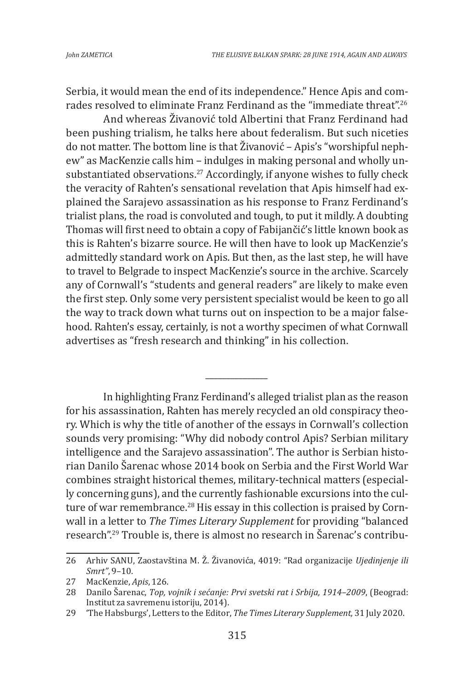Serbia, it would mean the end of its independence." Hence Apis and comrades resolved to eliminate Franz Ferdinand as the "immediate threat".<sup>26</sup>

And whereas Živanović told Albertini that Franz Ferdinand had been pushing trialism, he talks here about federalism. But such niceties do not matter. The bottom line is that Živanović – Apis's "worshipful nephew" as MacKenzie calls him – indulges in making personal and wholly unsubstantiated observations.<sup>27</sup> Accordingly, if anyone wishes to fully check the veracity of Rahten's sensational revelation that Apis himself had explained the Sarajevo assassination as his response to Franz Ferdinand's trialist plans, the road is convoluted and tough, to put it mildly. A doubting Thomas will first need to obtain a copy of Fabijančić's little known book as this is Rahten's bizarre source. He will then have to look up MacKenzie's admittedly standard work on Apis. But then, as the last step, he will have to travel to Belgrade to inspect MacKenzie's source in the archive. Scarcely any of Cornwall's "students and general readers" are likely to make even the first step. Only some very persistent specialist would be keen to go all the way to track down what turns out on inspection to be a major falsehood. Rahten's essay, certainly, is not a worthy specimen of what Cornwall advertises as "fresh research and thinking" in his collection.

In highlighting Franz Ferdinand's alleged trialist plan as the reason for his assassination, Rahten has merely recycled an old conspiracy theory. Which is why the title of another of the essays in Cornwall's collection sounds very promising: "Why did nobody control Apis? Serbian military intelligence and the Sarajevo assassination". The author is Serbian historian Danilo Šarenac whose 2014 book on Serbia and the First World War combines straight historical themes, military-technical matters (especially concerning guns), and the currently fashionable excursions into the culture of war remembrance.<sup>28</sup> His essay in this collection is praised by Cornwall in a letter to *The Times Literary Supplement* for providing "balanced research".29 Trouble is, there is almost no research in Šarenac's contribu-

*\_\_\_\_\_\_\_\_\_\_\_\_\_\_\_*

<sup>26</sup> Arhiv SANU, Zaostavština M. Ž. Živanovića, 4019: "Rad organizacije *Ujedinjenje ili Smrt"*, 9–10.

<sup>27</sup> MacKenzie, *Apis*, 126.

<sup>28</sup> Danilo Šarenac, *Top, vojnik i sećanje: Prvi svetski rat i Srbija, 1914–2009*, (Beograd: Institut za savremenu istoriju, 2014).

<sup>29</sup> 'The Habsburgs', Letters to the Editor, *The Times Literary Supplement,* 31 July 2020.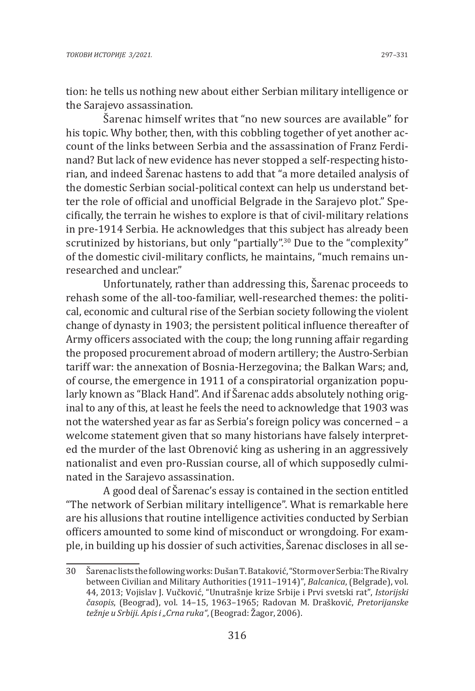tion: he tells us nothing new about either Serbian military intelligence or the Sarajevo assassination.

Šarenac himself writes that "no new sources are available" for his topic. Why bother, then, with this cobbling together of yet another account of the links between Serbia and the assassination of Franz Ferdinand? But lack of new evidence has never stopped a self-respecting historian, and indeed Šarenac hastens to add that "a more detailed analysis of the domestic Serbian social-political context can help us understand better the role of official and unofficial Belgrade in the Sarajevo plot." Specifically, the terrain he wishes to explore is that of civil-military relations in pre-1914 Serbia. He acknowledges that this subject has already been scrutinized by historians, but only "partially".<sup>30</sup> Due to the "complexity" of the domestic civil-military conflicts, he maintains, "much remains unresearched and unclear."

Unfortunately, rather than addressing this, Šarenac proceeds to rehash some of the all-too-familiar, well-researched themes: the political, economic and cultural rise of the Serbian society following the violent change of dynasty in 1903; the persistent political influence thereafter of Army officers associated with the coup; the long running affair regarding the proposed procurement abroad of modern artillery; the Austro-Serbian tariff war: the annexation of Bosnia-Herzegovina; the Balkan Wars; and, of course, the emergence in 1911 of a conspiratorial organization popularly known as "Black Hand". And if Šarenac adds absolutely nothing original to any of this, at least he feels the need to acknowledge that 1903 was not the watershed year as far as Serbia's foreign policy was concerned – a welcome statement given that so many historians have falsely interpreted the murder of the last Obrenović king as ushering in an aggressively nationalist and even pro-Russian course, all of which supposedly culminated in the Sarajevo assassination.

A good deal of Šarenac's essay is contained in the section entitled "The network of Serbian military intelligence". What is remarkable here are his allusions that routine intelligence activities conducted by Serbian officers amounted to some kind of misconduct or wrongdoing. For example, in building up his dossier of such activities, Šarenac discloses in all se-

<sup>30</sup> Šarenac lists the following works: Dušan T. Bataković, "Storm over Serbia: The Rivalry between Civilian and Military Authorities (1911–1914)", *Balcanica*, (Belgrade), vol. 44, 2013; Vojislav J. Vučković, "Unutrašnje krize Srbije i Prvi svetski rat", *Istorijski časopis*, (Beograd), vol. 14–15, 1963–1965; Radovan M. Drašković, *Pretorijanske težnje u Srbiji. Apis i "Crna ruka"*, (Beograd: Žagor, 2006).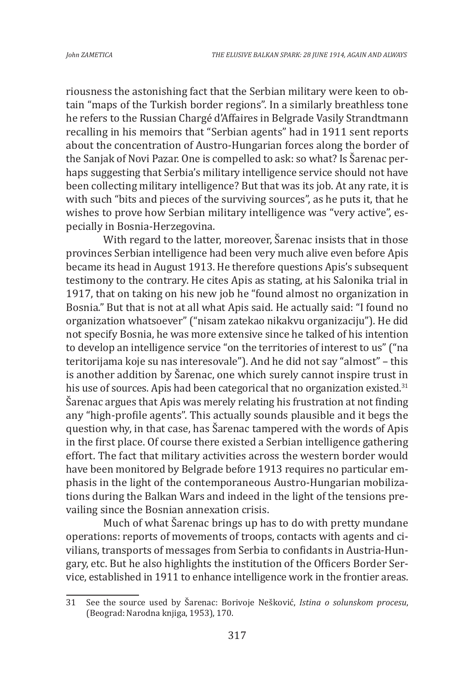riousness the astonishing fact that the Serbian military were keen to obtain "maps of the Turkish border regions". In a similarly breathless tone he refers to the Russian Chargé d'Affaires in Belgrade Vasily Strandtmann recalling in his memoirs that "Serbian agents" had in 1911 sent reports about the concentration of Austro-Hungarian forces along the border of the Sanjak of Novi Pazar. One is compelled to ask: so what? Is Šarenac perhaps suggesting that Serbia's military intelligence service should not have been collecting military intelligence? But that was its job. At any rate, it is with such "bits and pieces of the surviving sources", as he puts it, that he wishes to prove how Serbian military intelligence was "very active", especially in Bosnia-Herzegovina.

With regard to the latter, moreover, Šarenac insists that in those provinces Serbian intelligence had been very much alive even before Apis became its head in August 1913. He therefore questions Apis's subsequent testimony to the contrary. He cites Apis as stating, at his Salonika trial in 1917, that on taking on his new job he "found almost no organization in Bosnia." But that is not at all what Apis said. He actually said: "I found no organization whatsoever" ("nisam zatekao nikakvu organizaciju"). He did not specify Bosnia, he was more extensive since he talked of his intention to develop an intelligence service "on the territories of interest to us" ("na teritorijama koje su nas interesovale"). And he did not say "almost" – this is another addition by Šarenac, one which surely cannot inspire trust in his use of sources. Apis had been categorical that no organization existed.<sup>31</sup> Šarenac argues that Apis was merely relating his frustration at not finding any "high-profile agents". This actually sounds plausible and it begs the question why, in that case, has Šarenac tampered with the words of Apis in the first place. Of course there existed a Serbian intelligence gathering effort. The fact that military activities across the western border would have been monitored by Belgrade before 1913 requires no particular emphasis in the light of the contemporaneous Austro-Hungarian mobilizations during the Balkan Wars and indeed in the light of the tensions prevailing since the Bosnian annexation crisis.

Much of what Šarenac brings up has to do with pretty mundane operations: reports of movements of troops, contacts with agents and civilians, transports of messages from Serbia to confidants in Austria-Hungary, etc. But he also highlights the institution of the Officers Border Service, established in 1911 to enhance intelligence work in the frontier areas.

<sup>31</sup> See the source used by Šarenac: Borivoje Nešković, *Istina o solunskom procesu*, (Beograd: Narodna knjiga, 1953), 170.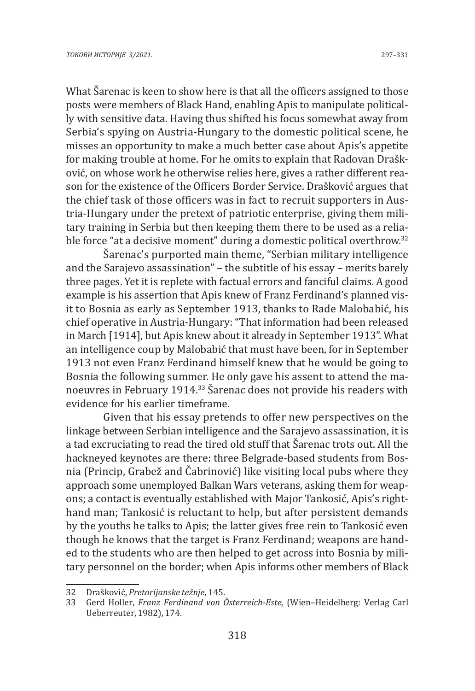What Šarenac is keen to show here is that all the officers assigned to those posts were members of Black Hand, enabling Apis to manipulate politically with sensitive data. Having thus shifted his focus somewhat away from Serbia's spying on Austria-Hungary to the domestic political scene, he misses an opportunity to make a much better case about Apis's appetite for making trouble at home. For he omits to explain that Radovan Drašković, on whose work he otherwise relies here, gives a rather different reason for the existence of the Officers Border Service. Drašković argues that the chief task of those officers was in fact to recruit supporters in Austria-Hungary under the pretext of patriotic enterprise, giving them military training in Serbia but then keeping them there to be used as a reliable force "at a decisive moment" during a domestic political overthrow.<sup>32</sup>

Šarenac's purported main theme, "Serbian military intelligence and the Sarajevo assassination" – the subtitle of his essay – merits barely three pages. Yet it is replete with factual errors and fanciful claims. A good example is his assertion that Apis knew of Franz Ferdinand's planned visit to Bosnia as early as September 1913, thanks to Rade Malobabić, his chief operative in Austria-Hungary: "That information had been released in March [1914], but Apis knew about it already in September 1913". What an intelligence coup by Malobabić that must have been, for in September 1913 not even Franz Ferdinand himself knew that he would be going to Bosnia the following summer. He only gave his assent to attend the manoeuvres in February 1914.<sup>33</sup> Šarenac does not provide his readers with evidence for his earlier timeframe.

Given that his essay pretends to offer new perspectives on the linkage between Serbian intelligence and the Sarajevo assassination, it is a tad excruciating to read the tired old stuff that Šarenac trots out. All the hackneyed keynotes are there: three Belgrade-based students from Bosnia (Princip, Grabež and Čabrinović) like visiting local pubs where they approach some unemployed Balkan Wars veterans, asking them for weapons; a contact is eventually established with Major Tankosić, Apis's righthand man; Tankosić is reluctant to help, but after persistent demands by the youths he talks to Apis; the latter gives free rein to Tankosić even though he knows that the target is Franz Ferdinand; weapons are handed to the students who are then helped to get across into Bosnia by military personnel on the border; when Apis informs other members of Black

<sup>32</sup> Drašković, *Pretorijanske težnje*, 145.

<sup>33</sup> Gerd Holler, *Franz Ferdinand von Österreich-Este*, (Wien–Heidelberg: Verlag Carl Ueberreuter, 1982), 174.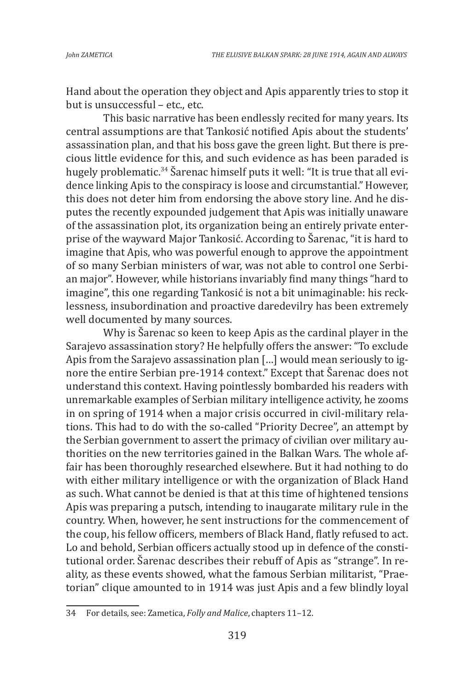Hand about the operation they object and Apis apparently tries to stop it but is unsuccessful – etc., etc.

This basic narrative has been endlessly recited for many years. Its central assumptions are that Tankosić notified Apis about the students' assassination plan, and that his boss gave the green light. But there is precious little evidence for this, and such evidence as has been paraded is hugely problematic.34 Šarenac himself puts it well: "It is true that all evidence linking Apis to the conspiracy is loose and circumstantial." However, this does not deter him from endorsing the above story line. And he disputes the recently expounded judgement that Apis was initially unaware of the assassination plot, its organization being an entirely private enterprise of the wayward Major Tankosić. According to Šarenac, "it is hard to imagine that Apis, who was powerful enough to approve the appointment of so many Serbian ministers of war, was not able to control one Serbian major". However, while historians invariably find many things "hard to imagine", this one regarding Tankosić is not a bit unimaginable: his recklessness, insubordination and proactive daredevilry has been extremely well documented by many sources.

Why is Šarenac so keen to keep Apis as the cardinal player in the Sarajevo assassination story? He helpfully offers the answer: "To exclude Apis from the Sarajevo assassination plan […] would mean seriously to ignore the entire Serbian pre-1914 context." Except that Šarenac does not understand this context. Having pointlessly bombarded his readers with unremarkable examples of Serbian military intelligence activity, he zooms in on spring of 1914 when a major crisis occurred in civil-military relations. This had to do with the so-called "Priority Decree", an attempt by the Serbian government to assert the primacy of civilian over military authorities on the new territories gained in the Balkan Wars. The whole affair has been thoroughly researched elsewhere. But it had nothing to do with either military intelligence or with the organization of Black Hand as such. What cannot be denied is that at this time of hightened tensions Apis was preparing a putsch, intending to inaugarate military rule in the country. When, however, he sent instructions for the commencement of the coup, his fellow officers, members of Black Hand, flatly refused to act. Lo and behold, Serbian officers actually stood up in defence of the constitutional order. Šarenac describes their rebuff of Apis as "strange". In reality, as these events showed, what the famous Serbian militarist, "Praetorian" clique amounted to in 1914 was just Apis and a few blindly loyal

<sup>34</sup> For details, see: Zametica, *Folly and Malice*, chapters 11–12.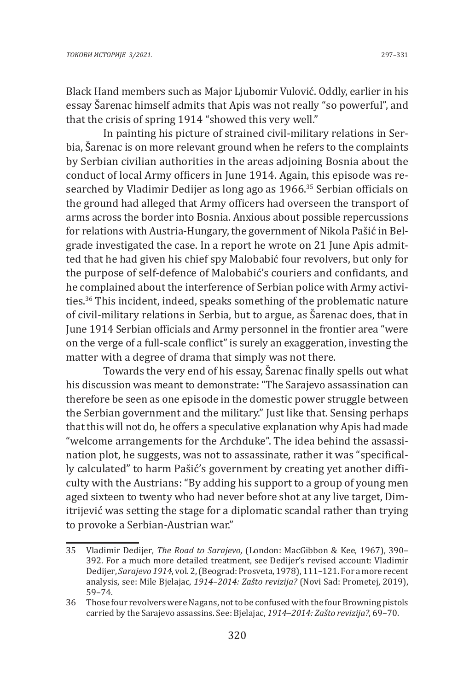In painting his picture of strained civil-military relations in Serbia, Šarenac is on more relevant ground when he refers to the complaints by Serbian civilian authorities in the areas adjoining Bosnia about the conduct of local Army officers in June 1914. Again, this episode was researched by Vladimir Dedijer as long ago as 1966.<sup>35</sup> Serbian officials on the ground had alleged that Army officers had overseen the transport of arms across the border into Bosnia. Anxious about possible repercussions for relations with Austria-Hungary, the government of Nikola Pašić in Belgrade investigated the case. In a report he wrote on 21 June Apis admitted that he had given his chief spy Malobabić four revolvers, but only for the purpose of self-defence of Malobabić's couriers and confidants, and he complained about the interference of Serbian police with Army activities.36 This incident, indeed, speaks something of the problematic nature of civil-military relations in Serbia, but to argue, as Šarenac does, that in June 1914 Serbian officials and Army personnel in the frontier area "were on the verge of a full-scale conflict" is surely an exaggeration, investing the matter with a degree of drama that simply was not there.

Towards the very end of his essay, Šarenac finally spells out what his discussion was meant to demonstrate: "The Sarajevo assassination can therefore be seen as one episode in the domestic power struggle between the Serbian government and the military." Just like that. Sensing perhaps that this will not do, he offers a speculative explanation why Apis had made "welcome arrangements for the Archduke". The idea behind the assassination plot, he suggests, was not to assassinate, rather it was "specifically calculated" to harm Pašić's government by creating yet another difficulty with the Austrians: "By adding his support to a group of young men aged sixteen to twenty who had never before shot at any live target, Dimitrijević was setting the stage for a diplomatic scandal rather than trying to provoke a Serbian-Austrian war."

<sup>35</sup> Vladimir Dedijer, *The Road to Sarajevo,* (London: MacGibbon & Kee, 1967), 390– 392. For a much more detailed treatment, see Dedijer's revised account: Vladimir Dedijer, *Sarajevo 1914*, vol. 2, (Beograd: Prosveta, 1978), 111–121. For a more recent analysis, see: Mile Bjelajac, *1914–2014: Zašto revizija?* (Novi Sad: Prometej, 2019), 59–74.

<sup>36</sup> Those four revolvers were Nagans, not to be confused with the four Browning pistols carried by the Sarajevo assassins. See: Bjelajac, *1914–2014: Zašto revizija?*, 69–70.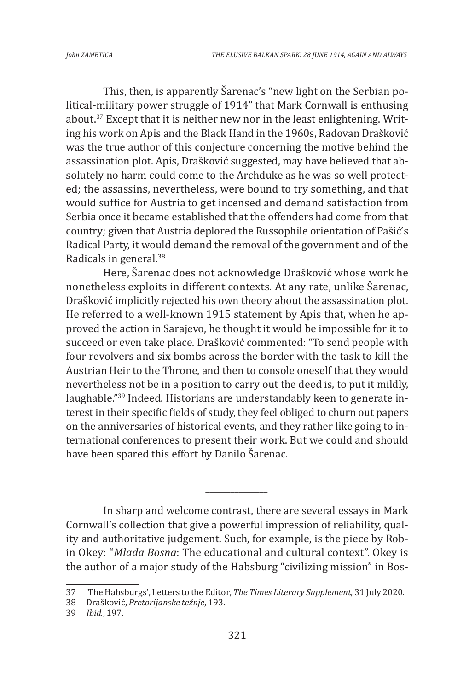This, then, is apparently Šarenac's "new light on the Serbian political-military power struggle of 1914" that Mark Cornwall is enthusing about.37 Except that it is neither new nor in the least enlightening. Writing his work on Apis and the Black Hand in the 1960s, Radovan Drašković was the true author of this conjecture concerning the motive behind the assassination plot. Apis, Drašković suggested, may have believed that absolutely no harm could come to the Archduke as he was so well protected; the assassins, nevertheless, were bound to try something, and that would suffice for Austria to get incensed and demand satisfaction from Serbia once it became established that the offenders had come from that country; given that Austria deplored the Russophile orientation of Pašić's Radical Party, it would demand the removal of the government and of the Radicals in general.<sup>38</sup>

Here, Šarenac does not acknowledge Drašković whose work he nonetheless exploits in different contexts. At any rate, unlike Šarenac, Drašković implicitly rejected his own theory about the assassination plot. He referred to a well-known 1915 statement by Apis that, when he approved the action in Sarajevo, he thought it would be impossible for it to succeed or even take place. Drašković commented: "To send people with four revolvers and six bombs across the border with the task to kill the Austrian Heir to the Throne, and then to console oneself that they would nevertheless not be in a position to carry out the deed is, to put it mildly, laughable."39 Indeed. Historians are understandably keen to generate interest in their specific fields of study, they feel obliged to churn out papers on the anniversaries of historical events, and they rather like going to international conferences to present their work. But we could and should have been spared this effort by Danilo Šarenac.

In sharp and welcome contrast, there are several essays in Mark Cornwall's collection that give a powerful impression of reliability, quality and authoritative judgement. Such, for example, is the piece by Robin Okey: "*Mlada Bosna*: The educational and cultural context". Okey is the author of a major study of the Habsburg "civilizing mission" in Bos-

*\_\_\_\_\_\_\_\_\_\_\_\_\_\_\_*

<sup>37</sup> 'The Habsburgs', Letters to the Editor, *The Times Literary Supplement*, 31 July 2020.

<sup>38</sup> Drašković, *Pretorijanske težnje*, 193.

<sup>39</sup> *Ibid*., 197.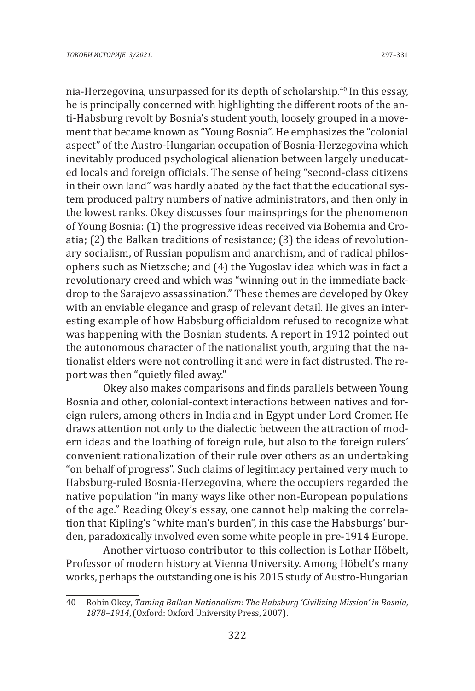nia-Herzegovina, unsurpassed for its depth of scholarship.<sup>40</sup> In this essay, he is principally concerned with highlighting the different roots of the anti-Habsburg revolt by Bosnia's student youth, loosely grouped in a movement that became known as "Young Bosnia". He emphasizes the "colonial aspect" of the Austro-Hungarian occupation of Bosnia-Herzegovina which inevitably produced psychological alienation between largely uneducated locals and foreign officials. The sense of being "second-class citizens in their own land" was hardly abated by the fact that the educational system produced paltry numbers of native administrators, and then only in the lowest ranks. Okey discusses four mainsprings for the phenomenon of Young Bosnia: (1) the progressive ideas received via Bohemia and Croatia; (2) the Balkan traditions of resistance; (3) the ideas of revolutionary socialism, of Russian populism and anarchism, and of radical philosophers such as Nietzsche; and (4) the Yugoslav idea which was in fact a revolutionary creed and which was "winning out in the immediate backdrop to the Sarajevo assassination." These themes are developed by Okey with an enviable elegance and grasp of relevant detail. He gives an interesting example of how Habsburg officialdom refused to recognize what was happening with the Bosnian students. A report in 1912 pointed out the autonomous character of the nationalist youth, arguing that the nationalist elders were not controlling it and were in fact distrusted. The report was then "quietly filed away."

Okey also makes comparisons and finds parallels between Young Bosnia and other, colonial-context interactions between natives and foreign rulers, among others in India and in Egypt under Lord Cromer. He draws attention not only to the dialectic between the attraction of modern ideas and the loathing of foreign rule, but also to the foreign rulers' convenient rationalization of their rule over others as an undertaking "on behalf of progress". Such claims of legitimacy pertained very much to Habsburg-ruled Bosnia-Herzegovina, where the occupiers regarded the native population "in many ways like other non-European populations of the age." Reading Okey's essay, one cannot help making the correlation that Kipling's "white man's burden", in this case the Habsburgs' burden, paradoxically involved even some white people in pre-1914 Europe.

Another virtuoso contributor to this collection is Lothar Höbelt, Professor of modern history at Vienna University. Among Höbelt's many works, perhaps the outstanding one is his 2015 study of Austro-Hungarian

<sup>40</sup> Robin Okey, *Taming Balkan Nationalism: The Habsburg 'Civilizing Mission' in Bosnia, 1878–1914*, (Oxford: Oxford University Press, 2007).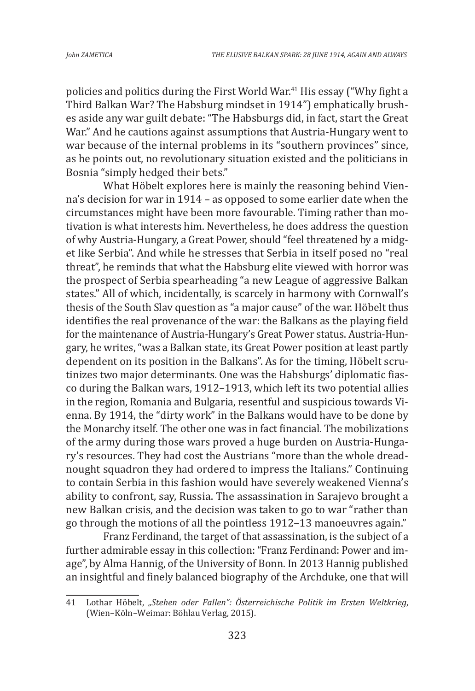policies and politics during the First World War.<sup>41</sup> His essay ("Why fight a Third Balkan War? The Habsburg mindset in 1914") emphatically brushes aside any war guilt debate: "The Habsburgs did, in fact, start the Great War." And he cautions against assumptions that Austria-Hungary went to war because of the internal problems in its "southern provinces" since, as he points out, no revolutionary situation existed and the politicians in Bosnia "simply hedged their bets."

What Höbelt explores here is mainly the reasoning behind Vienna's decision for war in 1914 – as opposed to some earlier date when the circumstances might have been more favourable. Timing rather than motivation is what interests him. Nevertheless, he does address the question of why Austria-Hungary, a Great Power, should "feel threatened by a midget like Serbia". And while he stresses that Serbia in itself posed no "real threat", he reminds that what the Habsburg elite viewed with horror was the prospect of Serbia spearheading "a new League of aggressive Balkan states." All of which, incidentally, is scarcely in harmony with Cornwall's thesis of the South Slav question as "a major cause" of the war. Höbelt thus identifies the real provenance of the war: the Balkans as the playing field for the maintenance of Austria-Hungary's Great Power status. Austria-Hungary, he writes, "was a Balkan state, its Great Power position at least partly dependent on its position in the Balkans". As for the timing, Höbelt scrutinizes two major determinants. One was the Habsburgs' diplomatic fiasco during the Balkan wars, 1912–1913, which left its two potential allies in the region, Romania and Bulgaria, resentful and suspicious towards Vienna. By 1914, the "dirty work" in the Balkans would have to be done by the Monarchy itself. The other one was in fact financial. The mobilizations of the army during those wars proved a huge burden on Austria-Hungary's resources. They had cost the Austrians "more than the whole dreadnought squadron they had ordered to impress the Italians." Continuing to contain Serbia in this fashion would have severely weakened Vienna's ability to confront, say, Russia. The assassination in Sarajevo brought a new Balkan crisis, and the decision was taken to go to war "rather than go through the motions of all the pointless 1912–13 manoeuvres again."

Franz Ferdinand, the target of that assassination, is the subject of a further admirable essay in this collection: "Franz Ferdinand: Power and image", by Alma Hannig, of the University of Bonn. In 2013 Hannig published an insightful and finely balanced biography of the Archduke, one that will

<sup>41</sup> Lothar Höbelt, *"Stehen oder Fallen": Österreichische Politik im Ersten Weltkrieg*, (Wien–Köln–Weimar: Böhlau Verlag, 2015).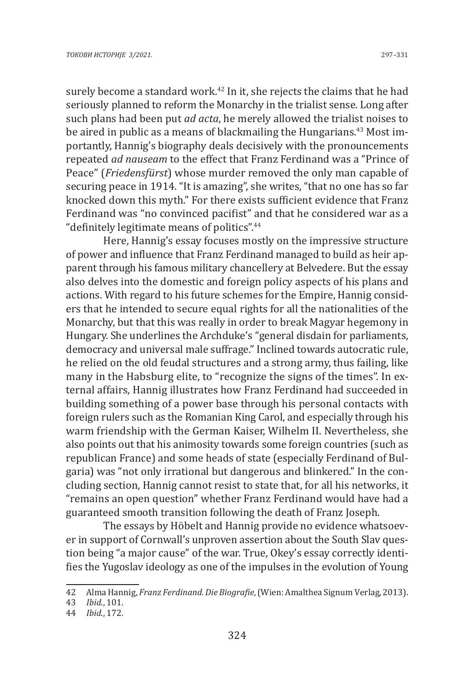surely become a standard work.<sup>42</sup> In it, she rejects the claims that he had seriously planned to reform the Monarchy in the trialist sense. Long after such plans had been put *ad acta*, he merely allowed the trialist noises to be aired in public as a means of blackmailing the Hungarians.<sup>43</sup> Most importantly, Hannig's biography deals decisively with the pronouncements repeated *ad nauseam* to the effect that Franz Ferdinand was a "Prince of Peace" (*Friedensfürst*) whose murder removed the only man capable of securing peace in 1914. "It is amazing", she writes, "that no one has so far knocked down this myth." For there exists sufficient evidence that Franz Ferdinand was "no convinced pacifist" and that he considered war as a "definitely legitimate means of politics".<sup>44</sup>

Here, Hannig's essay focuses mostly on the impressive structure of power and influence that Franz Ferdinand managed to build as heir apparent through his famous military chancellery at Belvedere. But the essay also delves into the domestic and foreign policy aspects of his plans and actions. With regard to his future schemes for the Empire, Hannig considers that he intended to secure equal rights for all the nationalities of the Monarchy, but that this was really in order to break Magyar hegemony in Hungary. She underlines the Archduke's "general disdain for parliaments, democracy and universal male suffrage." Inclined towards autocratic rule, he relied on the old feudal structures and a strong army, thus failing, like many in the Habsburg elite, to "recognize the signs of the times". In external affairs, Hannig illustrates how Franz Ferdinand had succeeded in building something of a power base through his personal contacts with foreign rulers such as the Romanian King Carol, and especially through his warm friendship with the German Kaiser, Wilhelm II. Nevertheless, she also points out that his animosity towards some foreign countries (such as republican France) and some heads of state (especially Ferdinand of Bulgaria) was "not only irrational but dangerous and blinkered." In the concluding section, Hannig cannot resist to state that, for all his networks, it "remains an open question" whether Franz Ferdinand would have had a guaranteed smooth transition following the death of Franz Joseph.

The essays by Höbelt and Hannig provide no evidence whatsoever in support of Cornwall's unproven assertion about the South Slav question being "a major cause" of the war. True, Okey's essay correctly identifies the Yugoslav ideology as one of the impulses in the evolution of Young

<sup>42</sup> Alma Hannig, *Franz Ferdinand. Die Biografie*, (Wien: Amalthea Signum Verlag, 2013).

<sup>43</sup> *Ibid*., 101.

<sup>44</sup> *Ibid*., 172.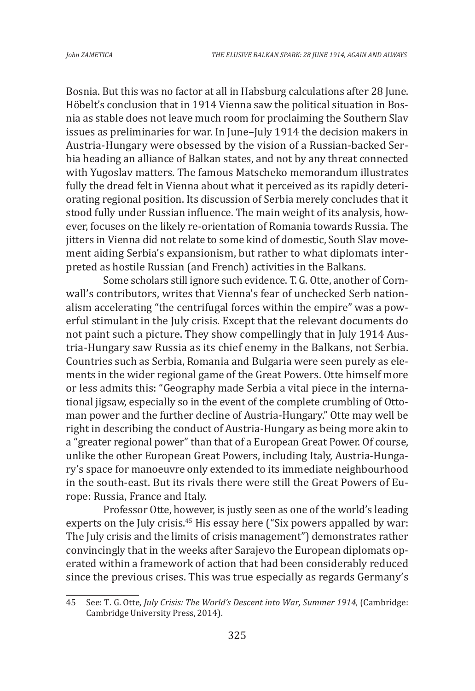Bosnia. But this was no factor at all in Habsburg calculations after 28 June. Höbelt's conclusion that in 1914 Vienna saw the political situation in Bosnia as stable does not leave much room for proclaiming the Southern Slav issues as preliminaries for war. In June–July 1914 the decision makers in Austria-Hungary were obsessed by the vision of a Russian-backed Serbia heading an alliance of Balkan states, and not by any threat connected with Yugoslav matters. The famous Matscheko memorandum illustrates fully the dread felt in Vienna about what it perceived as its rapidly deteriorating regional position. Its discussion of Serbia merely concludes that it stood fully under Russian influence. The main weight of its analysis, however, focuses on the likely re-orientation of Romania towards Russia. The jitters in Vienna did not relate to some kind of domestic, South Slav movement aiding Serbia's expansionism, but rather to what diplomats interpreted as hostile Russian (and French) activities in the Balkans.

Some scholars still ignore such evidence. T. G. Otte, another of Cornwall's contributors, writes that Vienna's fear of unchecked Serb nationalism accelerating "the centrifugal forces within the empire" was a powerful stimulant in the July crisis. Except that the relevant documents do not paint such a picture. They show compellingly that in July 1914 Austria-Hungary saw Russia as its chief enemy in the Balkans, not Serbia. Countries such as Serbia, Romania and Bulgaria were seen purely as elements in the wider regional game of the Great Powers. Otte himself more or less admits this: "Geography made Serbia a vital piece in the international jigsaw, especially so in the event of the complete crumbling of Ottoman power and the further decline of Austria-Hungary." Otte may well be right in describing the conduct of Austria-Hungary as being more akin to a "greater regional power" than that of a European Great Power. Of course, unlike the other European Great Powers, including Italy, Austria-Hungary's space for manoeuvre only extended to its immediate neighbourhood in the south-east. But its rivals there were still the Great Powers of Europe: Russia, France and Italy.

Professor Otte, however, is justly seen as one of the world's leading experts on the July crisis.<sup>45</sup> His essay here ("Six powers appalled by war: The July crisis and the limits of crisis management") demonstrates rather convincingly that in the weeks after Sarajevo the European diplomats operated within a framework of action that had been considerably reduced since the previous crises. This was true especially as regards Germany's

<sup>45</sup> See: T. G. Otte, *July Crisis: The World's Descent into War, Summer 1914*, (Cambridge: Cambridge University Press, 2014).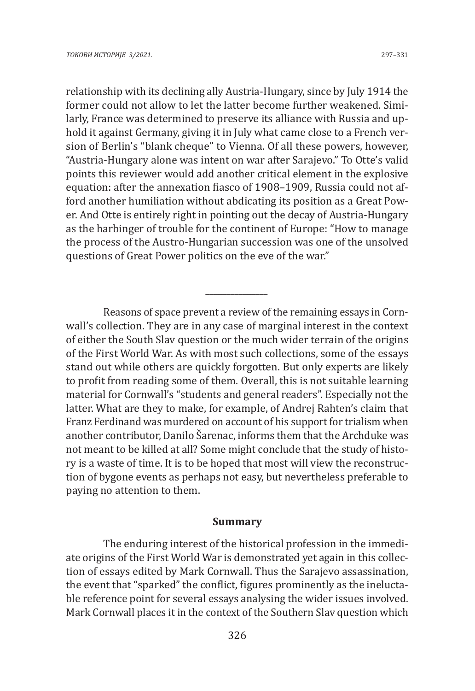relationship with its declining ally Austria-Hungary, since by July 1914 the former could not allow to let the latter become further weakened. Similarly, France was determined to preserve its alliance with Russia and uphold it against Germany, giving it in July what came close to a French version of Berlin's "blank cheque" to Vienna. Of all these powers, however, "Austria-Hungary alone was intent on war after Sarajevo." To Otte's valid points this reviewer would add another critical element in the explosive equation: after the annexation fiasco of 1908–1909, Russia could not afford another humiliation without abdicating its position as a Great Power. And Otte is entirely right in pointing out the decay of Austria-Hungary as the harbinger of trouble for the continent of Europe: "How to manage the process of the Austro-Hungarian succession was one of the unsolved questions of Great Power politics on the eve of the war."

Reasons of space prevent a review of the remaining essays in Cornwall's collection. They are in any case of marginal interest in the context of either the South Slav question or the much wider terrain of the origins of the First World War. As with most such collections, some of the essays stand out while others are quickly forgotten. But only experts are likely to profit from reading some of them. Overall, this is not suitable learning material for Cornwall's "students and general readers". Especially not the latter. What are they to make, for example, of Andrej Rahten's claim that Franz Ferdinand was murdered on account of his support for trialism when another contributor, Danilo Šarenac, informs them that the Archduke was not meant to be killed at all? Some might conclude that the study of history is a waste of time. It is to be hoped that most will view the reconstruction of bygone events as perhaps not easy, but nevertheless preferable to paying no attention to them.

*\_\_\_\_\_\_\_\_\_\_\_\_\_\_\_*

#### **Summary**

The enduring interest of the historical profession in the immediate origins of the First World War is demonstrated yet again in this collection of essays edited by Mark Cornwall. Thus the Sarajevo assassination, the event that "sparked" the conflict, figures prominently as the ineluctable reference point for several essays analysing the wider issues involved. Mark Cornwall places it in the context of the Southern Slav question which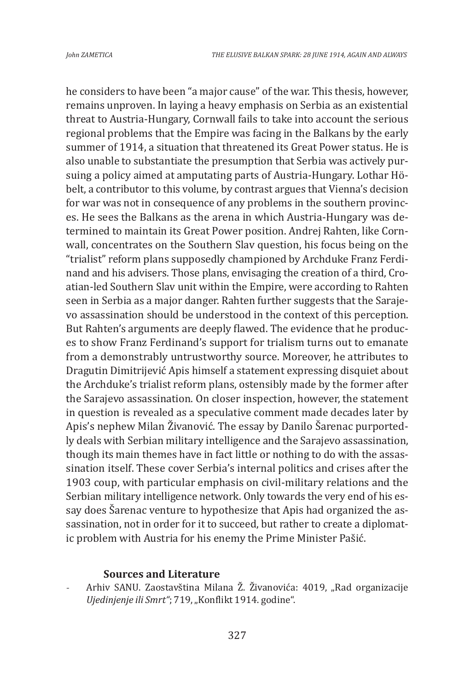he considers to have been "a major cause" of the war. This thesis, however, remains unproven. In laying a heavy emphasis on Serbia as an existential threat to Austria-Hungary, Cornwall fails to take into account the serious regional problems that the Empire was facing in the Balkans by the early summer of 1914, a situation that threatened its Great Power status. He is also unable to substantiate the presumption that Serbia was actively pursuing a policy aimed at amputating parts of Austria-Hungary. Lothar Höbelt, a contributor to this volume, by contrast argues that Vienna's decision for war was not in consequence of any problems in the southern provinces. He sees the Balkans as the arena in which Austria-Hungary was determined to maintain its Great Power position. Andrej Rahten, like Cornwall, concentrates on the Southern Slav question, his focus being on the "trialist" reform plans supposedly championed by Archduke Franz Ferdinand and his advisers. Those plans, envisaging the creation of a third, Croatian-led Southern Slav unit within the Empire, were according to Rahten seen in Serbia as a major danger. Rahten further suggests that the Sarajevo assassination should be understood in the context of this perception. But Rahten's arguments are deeply flawed. The evidence that he produces to show Franz Ferdinand's support for trialism turns out to emanate from a demonstrably untrustworthy source. Moreover, he attributes to Dragutin Dimitrijević Apis himself a statement expressing disquiet about the Archduke's trialist reform plans, ostensibly made by the former after the Sarajevo assassination. On closer inspection, however, the statement in question is revealed as a speculative comment made decades later by Apis's nephew Milan Živanović. The essay by Danilo Šarenac purportedly deals with Serbian military intelligence and the Sarajevo assassination, though its main themes have in fact little or nothing to do with the assassination itself. These cover Serbia's internal politics and crises after the 1903 coup, with particular emphasis on civil-military relations and the Serbian military intelligence network. Only towards the very end of his essay does Šarenac venture to hypothesize that Apis had organized the assassination, not in order for it to succeed, but rather to create a diplomatic problem with Austria for his enemy the Prime Minister Pašić.

#### **Sources and Literature**

Arhiv SANU. Zaostavština Milana Ž. Živanovića: 4019, "Rad organizacije Ujedinjenje ili Smrt"; 719, "Konflikt 1914. godine".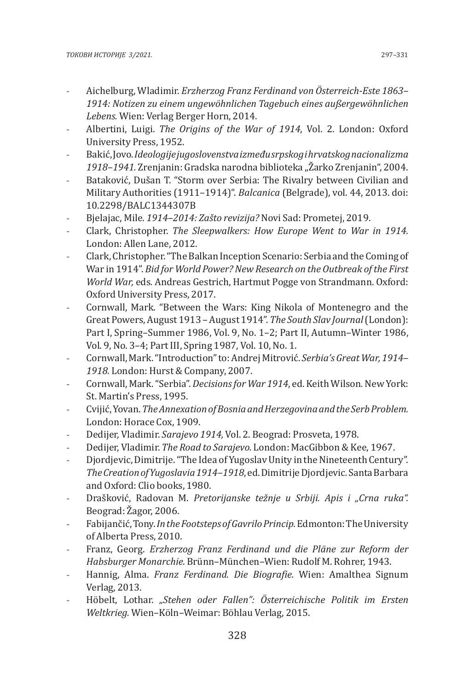- Aichelburg, Wladimir. *Erzherzog Franz Ferdinand von Österreich-Este 1863– 1914: Notizen zu einem ungewöhnlichen Tagebuch eines außergewöhnlichen Lebens.* Wien: Verlag Berger Horn, 2014.
- Albertini, Luigi. *The Origins of the War of 1914*, Vol. 2. London: Oxford University Press, 1952.
- Bakić, Jovo. *Ideologije jugoslovenstva između srpskog i hrvatskog nacionalizma 1918–1941.* Zrenjanin: Gradska narodna biblioteka "Žarko Zrenjanin", 2004.
- Bataković, Dušan T. "Storm over Serbia: The Rivalry between Civilian and Military Authorities (1911–1914)". *Balcanica* (Belgrade), vol. 44, 2013. doi: 10.2298/BALC1344307B
- Bjelajac, Mile. *1914–2014: Zašto revizija?* Novi Sad: Prometej, 2019.
- Clark, Christopher. *The Sleepwalkers: How Europe Went to War in 1914.* London: Allen Lane, 2012.
- Clark, Christopher. "The Balkan Inception Scenario: Serbia and the Coming of War in 1914". *Bid for World Power? New Research on the Outbreak of the First World War,* eds*.* Andreas Gestrich, Hartmut Pogge von Strandmann. Oxford: Oxford University Press, 2017.
- Cornwall, Mark. "Between the Wars: King Nikola of Montenegro and the Great Powers, August 1913 – August 1914". *The South Slav Journal* (London): Part I, Spring–Summer 1986, Vol. 9, No. 1–2; Part II, Autumn–Winter 1986, Vol. 9, No. 3–4; Part III, Spring 1987, Vol. 10, No. 1.
- Cornwall, Mark. "Introduction" to: Andrej Mitrović. *Serbia's Great War, 1914– 1918.* London: Hurst & Company, 2007.
- Cornwall, Mark. "Serbia". *Decisions for War 1914*, ed. Keith Wilson*.* New York: St. Martin's Press, 1995.
- Cvijić, Yovan. *The Annexation of Bosnia and Herzegovina and the Serb Problem.* London: Horace Cox, 1909.
- Dedijer, Vladimir. *Sarajevo 1914,* Vol. 2. Beograd: Prosveta, 1978.
- Dedijer, Vladimir. *The Road to Sarajevo.* London: MacGibbon & Kee, 1967.
- Djordjevic, Dimitrije. "The Idea of Yugoslav Unity in the Nineteenth Century". *The Creation of Yugoslavia 1914–1918*, ed. Dimitrije Djordjevic*.* Santa Barbara and Oxford: Clio books, 1980.
- Drašković, Radovan M. *Pretorijanske težnje u Srbiji. Apis i "Crna ruka".* Beograd: Žagor, 2006.
- Fabijančić, Tony. *In the Footsteps of Gavrilo Princip.* Edmonton: The University of Alberta Press, 2010.
- Franz, Georg. *Erzherzog Franz Ferdinand und die Pläne zur Reform der Habsburger Monarchie.* Brünn–München–Wien: Rudolf M. Rohrer, 1943.
- Hannig, Alma. *Franz Ferdinand. Die Biografie.* Wien: Amalthea Signum Verlag, 2013.
- Höbelt, Lothar. *"Stehen oder Fallen": Österreichische Politik im Ersten Weltkrieg.* Wien–Köln–Weimar: Böhlau Verlag, 2015.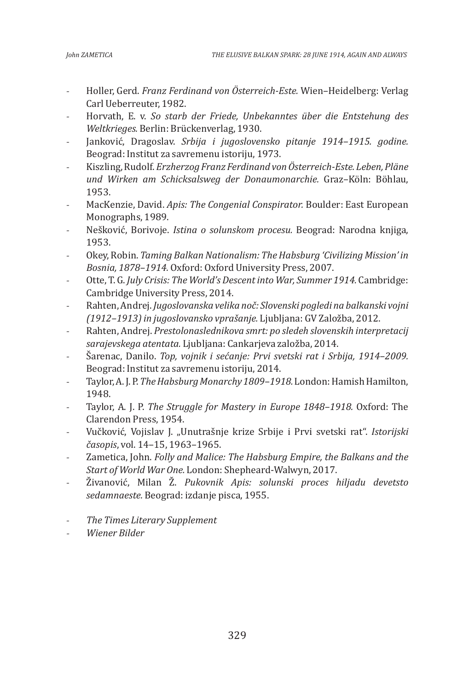- Holler, Gerd. *Franz Ferdinand von Österreich-Este.* Wien–Heidelberg: Verlag Carl Ueberreuter, 1982.
- Horvath, E. v. *So starb der Friede, Unbekanntes über die Entstehung des Weltkrieges.* Berlin: Brückenverlag, 1930.
- Janković, Dragoslav. *Srbija i jugoslovensko pitanje 1914–1915. godine.* Beograd: Institut za savremenu istoriju, 1973.
- Kiszling, Rudolf. *Erzherzog Franz Ferdinand von Österreich-Este. Leben, Pläne und Wirken am Schicksalsweg der Donaumonarchie.* Graz–Köln: Böhlau, 1953.
- MacKenzie, David. *Apis: The Congenial Conspirator.* Boulder: East European Monographs, 1989.
- Nešković, Borivoje. *Istina o solunskom procesu.* Beograd: Narodna knjiga, 1953.
- Okey, Robin. *Taming Balkan Nationalism: The Habsburg 'Civilizing Mission' in Bosnia, 1878–1914.* Oxford: Oxford University Press, 2007.
- Otte, T. G. *July Crisis: The World's Descent into War, Summer 1914.* Cambridge: Cambridge University Press, 2014.
- Rahten, Andrej. *Jugoslovanska velika noč: Slovenski pogledi na balkanski vojni (1912–1913) in jugoslovansko vprašanje.* Ljubljana: GV Založba, 2012.
- Rahten, Andrej. *Prestolonaslednikova smrt: po sledeh slovenskih interpretacij sarajevskega atentata.* Ljubljana: Cankarjeva založba, 2014.
- Šarenac, Danilo. *Top, vojnik i sećanje: Prvi svetski rat i Srbija, 1914–2009.*  Beograd: Institut za savremenu istoriju, 2014.
- Taylor, A. J. P. *The Habsburg Monarchy 1809–1918.* London: Hamish Hamilton, 1948.
- Taylor, A. J. P. *The Struggle for Mastery in Europe 1848–1918.* Oxford: The Clarendon Press, 1954.
- Vučković, Vojislav J. "Unutrašnje krize Srbije i Prvi svetski rat". *Istorijski časopis*, vol. 14–15, 1963–1965.
- Zametica, John. *Folly and Malice: The Habsburg Empire, the Balkans and the Start of World War One.* London: Shepheard-Walwyn, 2017.
- Živanović, Milan Ž. *Pukovnik Apis: solunski proces hiljadu devetsto sedamnaeste.* Beograd: izdanje pisca, 1955.
- *The Times Literary Supplement*
- *Wiener Bilder*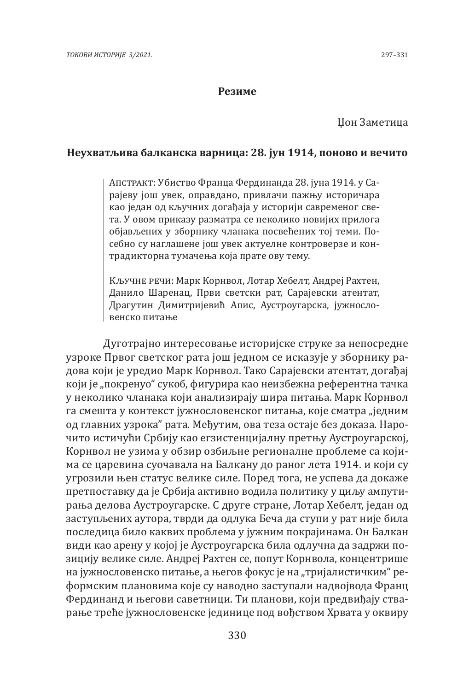#### **Резиме**

## Џон Заметица

### **Неухватљива балканска варница: 28. јун 1914, поново и вечито**

Апстракт: Убиство Франца Фердинанда 28. јуна 1914. у Сарајеву још увек, оправдано, привлачи пажњу историчара као један од кључних догађаја у историји савременог света. У овом приказу разматра се неколико новијих прилога објављених у збoрнику чланака посвећених тој теми. Посебно су наглашене још увек актуелне контроверзе и контрадикторна тумачења која прате ову тему.

Кључне речи: Марк Корнвол, Лотар Хебелт, Андреј Рахтен, Данило Шаренац, Први светски рат, Сарајевски атентат, Драгутин Димитријевић Апис, Аустроугарска, јужнословенско питање

Дуготрајно интересовање историјске струке за непосредне узроке Првог светског рата још једном се исказује у зборнику радова који је уредио Марк Корнвол. Тако Сарајевски атентат, догађај који је "покренуо" сукоб, фигурира као неизбежна референтна тачка у неколико чланака који анализирају шира питања. Марк Корнвол га смешта у контекст јужнословенског питања, које сматра "једним од главних узрока" рата. Међутим, ова теза остаје без доказа. Нарочито истичући Србију као егзистенцијалну претњу Аустроугарској, Корнвол не узима у обзир озбиљне регионалне проблеме са којима се царевина суочавала на Балкану до раног лета 1914. и који су угрозили њен статус велике силе. Поред тога, не успева да докаже претпоставку да је Србија активно водила политику у циљу ампутирања делова Аустроугарске. С друге стране, Лотар Хебелт, један од заступљених аутора, тврди да одлука Беча да ступи у рат није била последица било каквих проблема у јужним покрајинама. Он Балкан види као арену у којој је Аустроугарска била одлучна да задржи позицију велике силе. Андреј Рахтен се, попут Корнвола, концентрише на јужнословенско питање, а његов фокус је на "тријалистичким" реформским плановима које су наводно заступали надвојвода Франц Фердинанд и његови саветници. Ти планови, који предвиђају стварање треће јужнословенске јединице под вођством Хрвата у оквиру